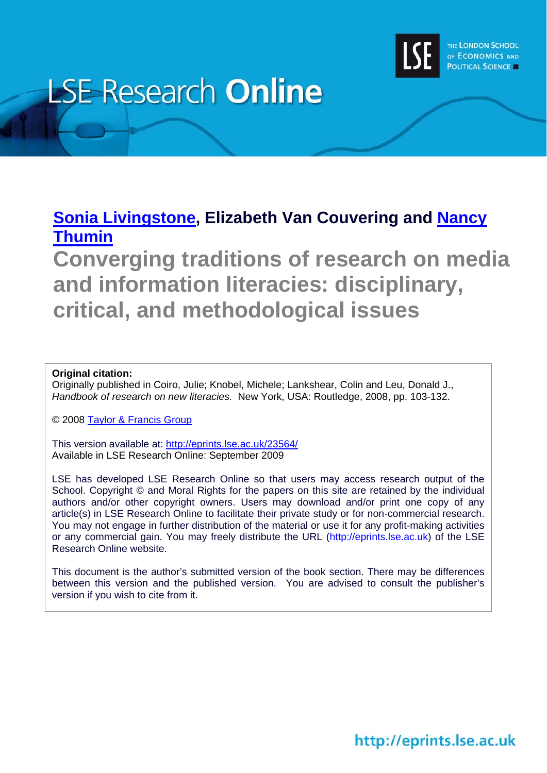

# **LSE Research Online**

# **[Sonia Livingstone](http://www2.lse.ac.uk/researchAndExpertise/Experts/profile.aspx?KeyValue=s.livingstone@lse.ac.uk), Elizabeth Van Couvering and [Nancy](http://www.lse.ac.uk/collections/media@lse/whosWho/NancyThumim.htm)  [Thumin](http://www.lse.ac.uk/collections/media@lse/whosWho/NancyThumim.htm)**

**Converging traditions of research on media and information literacies: disciplinary, critical, and methodological issues** 

## **Original citation:**

Originally published in Coiro, Julie; Knobel, Michele; Lankshear, Colin and Leu, Donald J., *Handbook of research on new literacies.* New York, USA: Routledge, 2008, pp. 103-132.

© 2008 [Taylor & Francis Group](http://www.taylorandfrancisgroup.com/)

This version available at: <http://eprints.lse.ac.uk/23564/> Available in LSE Research Online: September 2009

LSE has developed LSE Research Online so that users may access research output of the School. Copyright © and Moral Rights for the papers on this site are retained by the individual authors and/or other copyright owners. Users may download and/or print one copy of any article(s) in LSE Research Online to facilitate their private study or for non-commercial research. You may not engage in further distribution of the material or use it for any profit-making activities or any commercial gain. You may freely distribute the URL (http://eprints.lse.ac.uk) of the LSE Research Online website.

This document is the author's submitted version of the book section. There may be differences between this version and the published version. You are advised to consult the publisher's version if you wish to cite from it.

# http://eprints.lse.ac.uk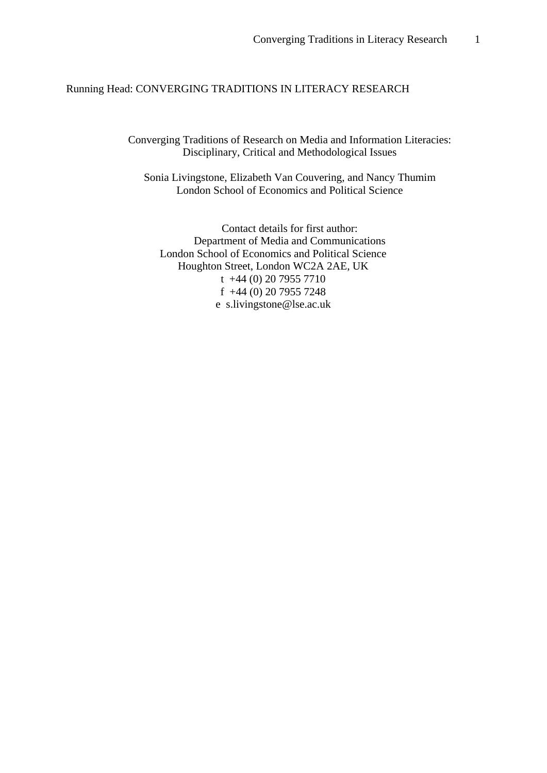### Running Head: CONVERGING TRADITIONS IN LITERACY RESEARCH

Converging Traditions of Research on Media and Information Literacies: Disciplinary, Critical and Methodological Issues

Sonia Livingstone, Elizabeth Van Couvering, and Nancy Thumim London School of Economics and Political Science

Contact details for first author: Department of Media and Communications London School of Economics and Political Science Houghton Street, London WC2A 2AE, UK t +44 (0) 20 7955 7710 f +44 (0) 20 7955 7248 e s.livingstone@lse.ac.uk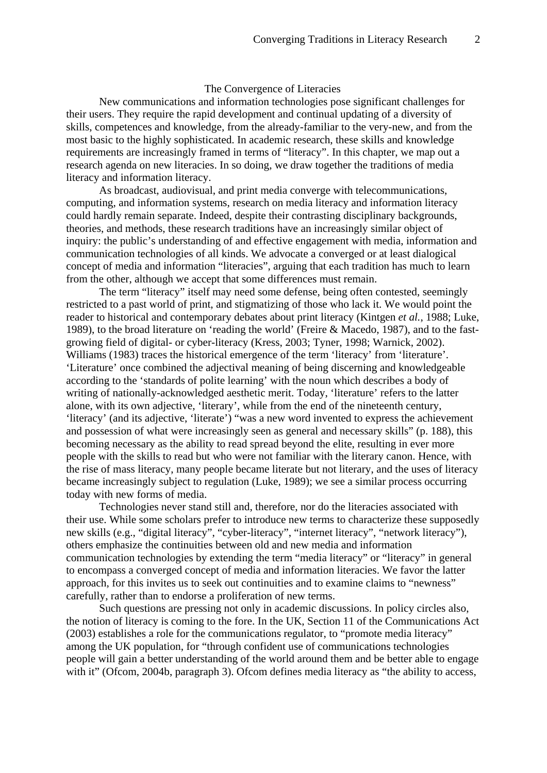### The Convergence of Literacies

New communications and information technologies pose significant challenges for their users. They require the rapid development and continual updating of a diversity of skills, competences and knowledge, from the already-familiar to the very-new, and from the most basic to the highly sophisticated. In academic research, these skills and knowledge requirements are increasingly framed in terms of "literacy". In this chapter, we map out a research agenda on new literacies. In so doing, we draw together the traditions of media literacy and information literacy.

As broadcast, audiovisual, and print media converge with telecommunications, computing, and information systems, research on media literacy and information literacy could hardly remain separate. Indeed, despite their contrasting disciplinary backgrounds, theories, and methods, these research traditions have an increasingly similar object of inquiry: the public's understanding of and effective engagement with media, information and communication technologies of all kinds. We advocate a converged or at least dialogical concept of media and information "literacies", arguing that each tradition has much to learn from the other, although we accept that some differences must remain.

The term "literacy" itself may need some defense, being often contested, seemingly restricted to a past world of print, and stigmatizing of those who lack it. We would point the reader to historical and contemporary debates about print literacy (Kintgen *et al.*, 1988; Luke, 1989), to the broad literature on 'reading the world' (Freire & Macedo, 1987), and to the fastgrowing field of digital- or cyber-literacy (Kress, 2003; Tyner, 1998; Warnick, 2002). Williams (1983) traces the historical emergence of the term 'literacy' from 'literature'. 'Literature' once combined the adjectival meaning of being discerning and knowledgeable according to the 'standards of polite learning' with the noun which describes a body of writing of nationally-acknowledged aesthetic merit. Today, 'literature' refers to the latter alone, with its own adjective, 'literary', while from the end of the nineteenth century, 'literacy' (and its adjective, 'literate') "was a new word invented to express the achievement and possession of what were increasingly seen as general and necessary skills" (p. 188), this becoming necessary as the ability to read spread beyond the elite, resulting in ever more people with the skills to read but who were not familiar with the literary canon. Hence, with the rise of mass literacy, many people became literate but not literary, and the uses of literacy became increasingly subject to regulation (Luke, 1989); we see a similar process occurring today with new forms of media.

Technologies never stand still and, therefore, nor do the literacies associated with their use. While some scholars prefer to introduce new terms to characterize these supposedly new skills (e.g., "digital literacy", "cyber-literacy", "internet literacy", "network literacy"), others emphasize the continuities between old and new media and information communication technologies by extending the term "media literacy" or "literacy" in general to encompass a converged concept of media and information literacies. We favor the latter approach, for this invites us to seek out continuities and to examine claims to "newness" carefully, rather than to endorse a proliferation of new terms.

Such questions are pressing not only in academic discussions. In policy circles also, the notion of literacy is coming to the fore. In the UK, Section 11 of the Communications Act (2003) establishes a role for the communications regulator, to "promote media literacy" among the UK population, for "through confident use of communications technologies people will gain a better understanding of the world around them and be better able to engage with it" (Ofcom, 2004b, paragraph 3). Ofcom defines media literacy as "the ability to access,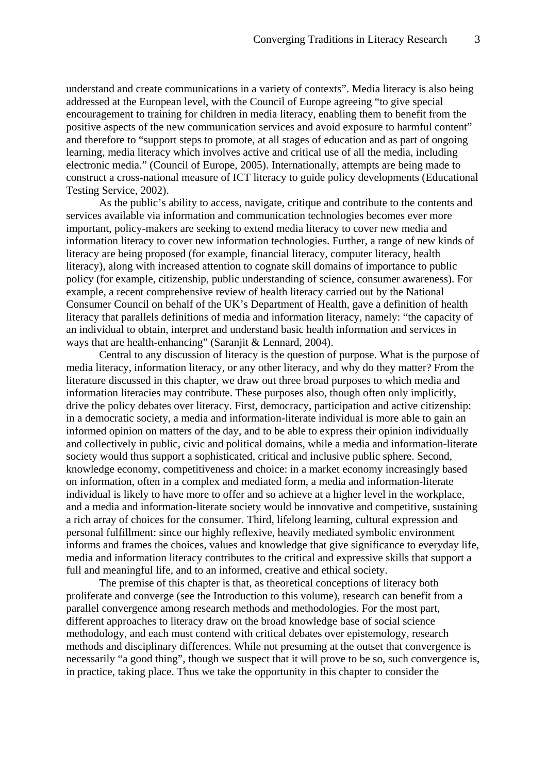understand and create communications in a variety of contexts". Media literacy is also being addressed at the European level, with the Council of Europe agreeing "to give special encouragement to training for children in media literacy, enabling them to benefit from the positive aspects of the new communication services and avoid exposure to harmful content" and therefore to "support steps to promote, at all stages of education and as part of ongoing learning, media literacy which involves active and critical use of all the media, including electronic media." (Council of Europe, 2005). Internationally, attempts are being made to construct a cross-national measure of ICT literacy to guide policy developments (Educational Testing Service, 2002).

As the public's ability to access, navigate, critique and contribute to the contents and services available via information and communication technologies becomes ever more important, policy-makers are seeking to extend media literacy to cover new media and information literacy to cover new information technologies. Further, a range of new kinds of literacy are being proposed (for example, financial literacy, computer literacy, health literacy), along with increased attention to cognate skill domains of importance to public policy (for example, citizenship, public understanding of science, consumer awareness). For example, a recent comprehensive review of health literacy carried out by the National Consumer Council on behalf of the UK's Department of Health, gave a definition of health literacy that parallels definitions of media and information literacy, namely: "the capacity of an individual to obtain, interpret and understand basic health information and services in ways that are health-enhancing" (Saranjit & Lennard, 2004).

Central to any discussion of literacy is the question of purpose. What is the purpose of media literacy, information literacy, or any other literacy, and why do they matter? From the literature discussed in this chapter, we draw out three broad purposes to which media and information literacies may contribute. These purposes also, though often only implicitly, drive the policy debates over literacy. First, democracy, participation and active citizenship: in a democratic society, a media and information-literate individual is more able to gain an informed opinion on matters of the day, and to be able to express their opinion individually and collectively in public, civic and political domains, while a media and information-literate society would thus support a sophisticated, critical and inclusive public sphere. Second, knowledge economy, competitiveness and choice: in a market economy increasingly based on information, often in a complex and mediated form, a media and information-literate individual is likely to have more to offer and so achieve at a higher level in the workplace, and a media and information-literate society would be innovative and competitive, sustaining a rich array of choices for the consumer. Third, lifelong learning, cultural expression and personal fulfillment: since our highly reflexive, heavily mediated symbolic environment informs and frames the choices, values and knowledge that give significance to everyday life, media and information literacy contributes to the critical and expressive skills that support a full and meaningful life, and to an informed, creative and ethical society.

The premise of this chapter is that, as theoretical conceptions of literacy both proliferate and converge (see the Introduction to this volume), research can benefit from a parallel convergence among research methods and methodologies. For the most part, different approaches to literacy draw on the broad knowledge base of social science methodology, and each must contend with critical debates over epistemology, research methods and disciplinary differences. While not presuming at the outset that convergence is necessarily "a good thing", though we suspect that it will prove to be so, such convergence is, in practice, taking place. Thus we take the opportunity in this chapter to consider the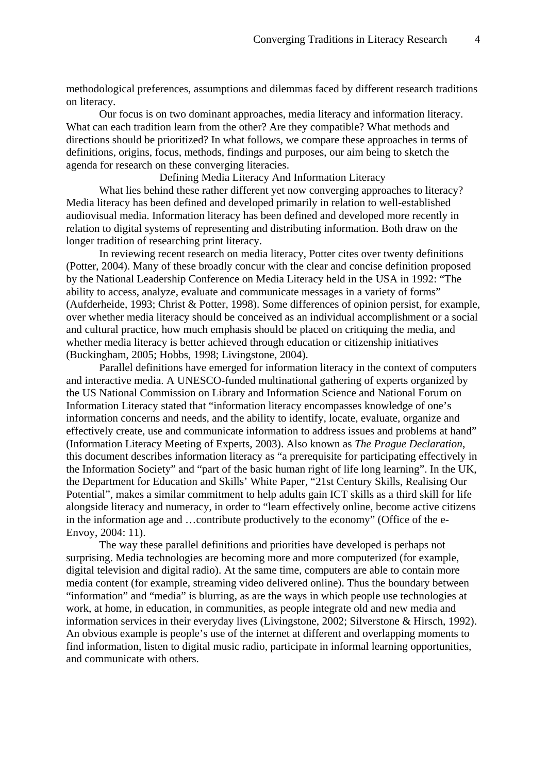methodological preferences, assumptions and dilemmas faced by different research traditions on literacy.

Our focus is on two dominant approaches, media literacy and information literacy. What can each tradition learn from the other? Are they compatible? What methods and directions should be prioritized? In what follows, we compare these approaches in terms of definitions, origins, focus, methods, findings and purposes, our aim being to sketch the agenda for research on these converging literacies.

Defining Media Literacy And Information Literacy

What lies behind these rather different yet now converging approaches to literacy? Media literacy has been defined and developed primarily in relation to well-established audiovisual media. Information literacy has been defined and developed more recently in relation to digital systems of representing and distributing information. Both draw on the longer tradition of researching print literacy.

In reviewing recent research on media literacy, Potter cites over twenty definitions (Potter, 2004). Many of these broadly concur with the clear and concise definition proposed by the National Leadership Conference on Media Literacy held in the USA in 1992: "The ability to access, analyze, evaluate and communicate messages in a variety of forms" (Aufderheide, 1993; Christ & Potter, 1998). Some differences of opinion persist, for example, over whether media literacy should be conceived as an individual accomplishment or a social and cultural practice, how much emphasis should be placed on critiquing the media, and whether media literacy is better achieved through education or citizenship initiatives (Buckingham, 2005; Hobbs, 1998; Livingstone, 2004).

Parallel definitions have emerged for information literacy in the context of computers and interactive media. A UNESCO-funded multinational gathering of experts organized by the US National Commission on Library and Information Science and National Forum on Information Literacy stated that "information literacy encompasses knowledge of one's information concerns and needs, and the ability to identify, locate, evaluate, organize and effectively create, use and communicate information to address issues and problems at hand" (Information Literacy Meeting of Experts, 2003). Also known as *The Prague Declaration*, this document describes information literacy as "a prerequisite for participating effectively in the Information Society" and "part of the basic human right of life long learning". In the UK, the Department for Education and Skills' White Paper, "21st Century Skills, Realising Our Potential", makes a similar commitment to help adults gain ICT skills as a third skill for life alongside literacy and numeracy, in order to "learn effectively online, become active citizens in the information age and …contribute productively to the economy" (Office of the e-Envoy, 2004: 11).

The way these parallel definitions and priorities have developed is perhaps not surprising. Media technologies are becoming more and more computerized (for example, digital television and digital radio). At the same time, computers are able to contain more media content (for example, streaming video delivered online). Thus the boundary between "information" and "media" is blurring, as are the ways in which people use technologies at work, at home, in education, in communities, as people integrate old and new media and information services in their everyday lives (Livingstone, 2002; Silverstone & Hirsch, 1992). An obvious example is people's use of the internet at different and overlapping moments to find information, listen to digital music radio, participate in informal learning opportunities, and communicate with others.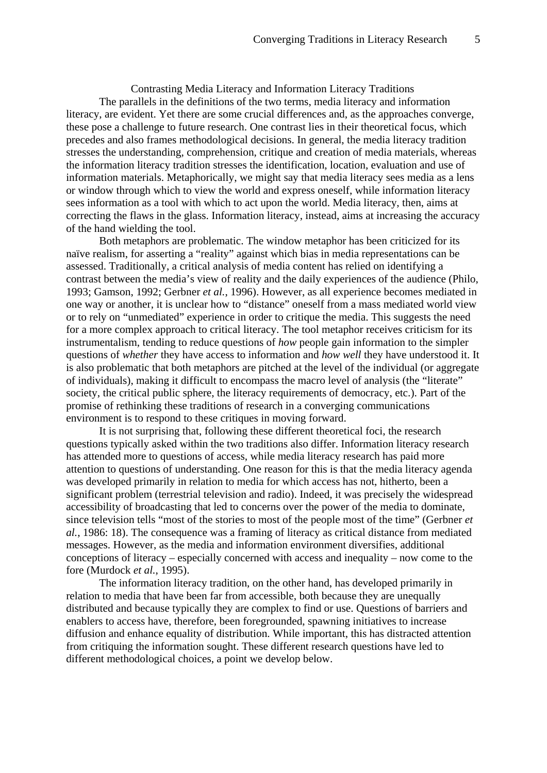Contrasting Media Literacy and Information Literacy Traditions The parallels in the definitions of the two terms, media literacy and information literacy, are evident. Yet there are some crucial differences and, as the approaches converge, these pose a challenge to future research. One contrast lies in their theoretical focus, which precedes and also frames methodological decisions. In general, the media literacy tradition stresses the understanding, comprehension, critique and creation of media materials, whereas the information literacy tradition stresses the identification, location, evaluation and use of information materials. Metaphorically, we might say that media literacy sees media as a lens or window through which to view the world and express oneself, while information literacy sees information as a tool with which to act upon the world. Media literacy, then, aims at correcting the flaws in the glass. Information literacy, instead, aims at increasing the accuracy of the hand wielding the tool.

Both metaphors are problematic. The window metaphor has been criticized for its naïve realism, for asserting a "reality" against which bias in media representations can be assessed. Traditionally, a critical analysis of media content has relied on identifying a contrast between the media's view of reality and the daily experiences of the audience (Philo, 1993; Gamson, 1992; Gerbner *et al.*, 1996). However, as all experience becomes mediated in one way or another, it is unclear how to "distance" oneself from a mass mediated world view or to rely on "unmediated" experience in order to critique the media. This suggests the need for a more complex approach to critical literacy. The tool metaphor receives criticism for its instrumentalism, tending to reduce questions of *how* people gain information to the simpler questions of *whether* they have access to information and *how well* they have understood it. It is also problematic that both metaphors are pitched at the level of the individual (or aggregate of individuals), making it difficult to encompass the macro level of analysis (the "literate" society, the critical public sphere, the literacy requirements of democracy, etc.). Part of the promise of rethinking these traditions of research in a converging communications environment is to respond to these critiques in moving forward.

It is not surprising that, following these different theoretical foci, the research questions typically asked within the two traditions also differ. Information literacy research has attended more to questions of access, while media literacy research has paid more attention to questions of understanding. One reason for this is that the media literacy agenda was developed primarily in relation to media for which access has not, hitherto, been a significant problem (terrestrial television and radio). Indeed, it was precisely the widespread accessibility of broadcasting that led to concerns over the power of the media to dominate, since television tells "most of the stories to most of the people most of the time" (Gerbner *et al.*, 1986: 18). The consequence was a framing of literacy as critical distance from mediated messages. However, as the media and information environment diversifies, additional conceptions of literacy – especially concerned with access and inequality – now come to the fore (Murdock *et al.*, 1995).

The information literacy tradition, on the other hand, has developed primarily in relation to media that have been far from accessible, both because they are unequally distributed and because typically they are complex to find or use. Questions of barriers and enablers to access have, therefore, been foregrounded, spawning initiatives to increase diffusion and enhance equality of distribution. While important, this has distracted attention from critiquing the information sought. These different research questions have led to different methodological choices, a point we develop below.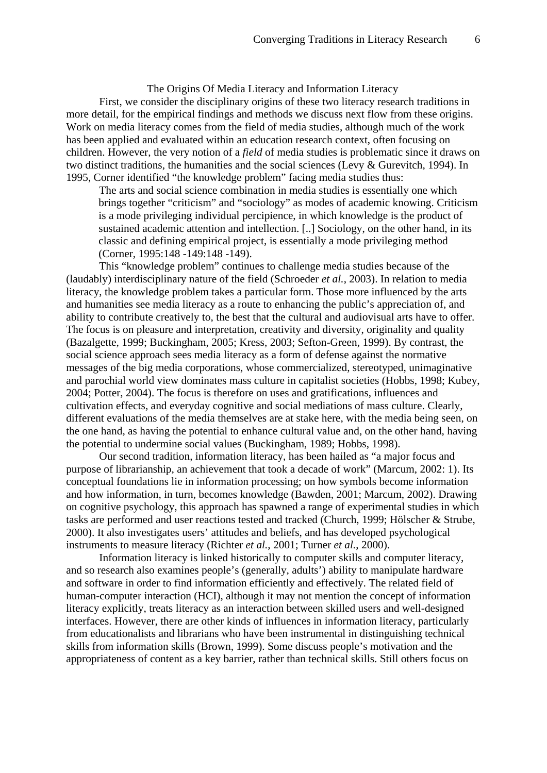The Origins Of Media Literacy and Information Literacy

First, we consider the disciplinary origins of these two literacy research traditions in more detail, for the empirical findings and methods we discuss next flow from these origins. Work on media literacy comes from the field of media studies, although much of the work has been applied and evaluated within an education research context, often focusing on children. However, the very notion of a *field* of media studies is problematic since it draws on two distinct traditions, the humanities and the social sciences (Levy & Gurevitch, 1994). In 1995, Corner identified "the knowledge problem" facing media studies thus:

 The arts and social science combination in media studies is essentially one which brings together "criticism" and "sociology" as modes of academic knowing. Criticism is a mode privileging individual percipience, in which knowledge is the product of sustained academic attention and intellection. [..] Sociology, on the other hand, in its classic and defining empirical project, is essentially a mode privileging method (Corner, 1995:148 -149:148 -149).

This "knowledge problem" continues to challenge media studies because of the (laudably) interdisciplinary nature of the field (Schroeder *et al.*, 2003). In relation to media literacy, the knowledge problem takes a particular form. Those more influenced by the arts and humanities see media literacy as a route to enhancing the public's appreciation of, and ability to contribute creatively to, the best that the cultural and audiovisual arts have to offer. The focus is on pleasure and interpretation, creativity and diversity, originality and quality (Bazalgette, 1999; Buckingham, 2005; Kress, 2003; Sefton-Green, 1999). By contrast, the social science approach sees media literacy as a form of defense against the normative messages of the big media corporations, whose commercialized, stereotyped, unimaginative and parochial world view dominates mass culture in capitalist societies (Hobbs, 1998; Kubey, 2004; Potter, 2004). The focus is therefore on uses and gratifications, influences and cultivation effects, and everyday cognitive and social mediations of mass culture. Clearly, different evaluations of the media themselves are at stake here, with the media being seen, on the one hand, as having the potential to enhance cultural value and, on the other hand, having the potential to undermine social values (Buckingham, 1989; Hobbs, 1998).

Our second tradition, information literacy, has been hailed as "a major focus and purpose of librarianship, an achievement that took a decade of work" (Marcum, 2002: 1). Its conceptual foundations lie in information processing; on how symbols become information and how information, in turn, becomes knowledge (Bawden, 2001; Marcum, 2002). Drawing on cognitive psychology, this approach has spawned a range of experimental studies in which tasks are performed and user reactions tested and tracked (Church, 1999; Hölscher & Strube, 2000). It also investigates users' attitudes and beliefs, and has developed psychological instruments to measure literacy (Richter *et al.*, 2001; Turner *et al.*, 2000).

Information literacy is linked historically to computer skills and computer literacy, and so research also examines people's (generally, adults') ability to manipulate hardware and software in order to find information efficiently and effectively. The related field of human-computer interaction (HCI), although it may not mention the concept of information literacy explicitly, treats literacy as an interaction between skilled users and well-designed interfaces. However, there are other kinds of influences in information literacy, particularly from educationalists and librarians who have been instrumental in distinguishing technical skills from information skills (Brown, 1999). Some discuss people's motivation and the appropriateness of content as a key barrier, rather than technical skills. Still others focus on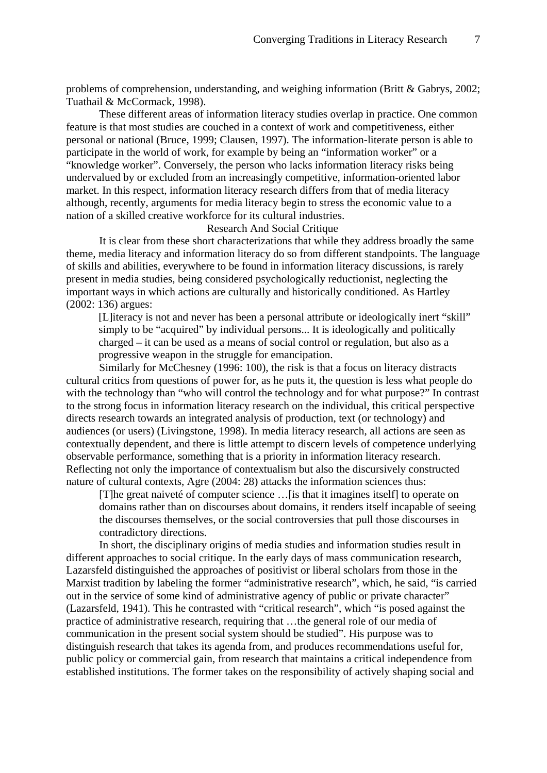problems of comprehension, understanding, and weighing information (Britt & Gabrys, 2002; Tuathail & McCormack, 1998).

These different areas of information literacy studies overlap in practice. One common feature is that most studies are couched in a context of work and competitiveness, either personal or national (Bruce, 1999; Clausen, 1997). The information-literate person is able to participate in the world of work, for example by being an "information worker" or a "knowledge worker". Conversely, the person who lacks information literacy risks being undervalued by or excluded from an increasingly competitive, information-oriented labor market. In this respect, information literacy research differs from that of media literacy although, recently, arguments for media literacy begin to stress the economic value to a nation of a skilled creative workforce for its cultural industries.

### Research And Social Critique

It is clear from these short characterizations that while they address broadly the same theme, media literacy and information literacy do so from different standpoints. The language of skills and abilities, everywhere to be found in information literacy discussions, is rarely present in media studies, being considered psychologically reductionist, neglecting the important ways in which actions are culturally and historically conditioned. As Hartley (2002: 136) argues:

[L]iteracy is not and never has been a personal attribute or ideologically inert "skill" simply to be "acquired" by individual persons... It is ideologically and politically charged – it can be used as a means of social control or regulation, but also as a progressive weapon in the struggle for emancipation.

Similarly for McChesney (1996: 100), the risk is that a focus on literacy distracts cultural critics from questions of power for, as he puts it, the question is less what people do with the technology than "who will control the technology and for what purpose?" In contrast to the strong focus in information literacy research on the individual, this critical perspective directs research towards an integrated analysis of production, text (or technology) and audiences (or users) (Livingstone, 1998). In media literacy research, all actions are seen as contextually dependent, and there is little attempt to discern levels of competence underlying observable performance, something that is a priority in information literacy research. Reflecting not only the importance of contextualism but also the discursively constructed nature of cultural contexts, Agre (2004: 28) attacks the information sciences thus:

[T]he great naiveté of computer science …[is that it imagines itself] to operate on domains rather than on discourses about domains, it renders itself incapable of seeing the discourses themselves, or the social controversies that pull those discourses in contradictory directions.

In short, the disciplinary origins of media studies and information studies result in different approaches to social critique. In the early days of mass communication research, Lazarsfeld distinguished the approaches of positivist or liberal scholars from those in the Marxist tradition by labeling the former "administrative research", which, he said, "is carried out in the service of some kind of administrative agency of public or private character" (Lazarsfeld, 1941). This he contrasted with "critical research", which "is posed against the practice of administrative research, requiring that …the general role of our media of communication in the present social system should be studied". His purpose was to distinguish research that takes its agenda from, and produces recommendations useful for, public policy or commercial gain, from research that maintains a critical independence from established institutions. The former takes on the responsibility of actively shaping social and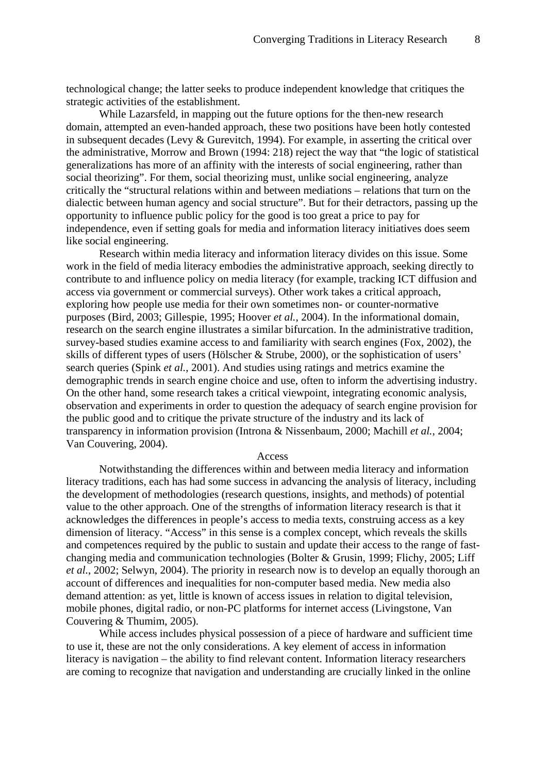technological change; the latter seeks to produce independent knowledge that critiques the strategic activities of the establishment.

While Lazarsfeld, in mapping out the future options for the then-new research domain, attempted an even-handed approach, these two positions have been hotly contested in subsequent decades (Levy & Gurevitch, 1994). For example, in asserting the critical over the administrative, Morrow and Brown (1994: 218) reject the way that "the logic of statistical generalizations has more of an affinity with the interests of social engineering, rather than social theorizing". For them, social theorizing must, unlike social engineering, analyze critically the "structural relations within and between mediations – relations that turn on the dialectic between human agency and social structure". But for their detractors, passing up the opportunity to influence public policy for the good is too great a price to pay for independence, even if setting goals for media and information literacy initiatives does seem like social engineering.

Research within media literacy and information literacy divides on this issue. Some work in the field of media literacy embodies the administrative approach, seeking directly to contribute to and influence policy on media literacy (for example, tracking ICT diffusion and access via government or commercial surveys). Other work takes a critical approach, exploring how people use media for their own sometimes non- or counter-normative purposes (Bird, 2003; Gillespie, 1995; Hoover *et al.*, 2004). In the informational domain, research on the search engine illustrates a similar bifurcation. In the administrative tradition, survey-based studies examine access to and familiarity with search engines (Fox, 2002), the skills of different types of users (Hölscher & Strube, 2000), or the sophistication of users' search queries (Spink *et al.*, 2001). And studies using ratings and metrics examine the demographic trends in search engine choice and use, often to inform the advertising industry. On the other hand, some research takes a critical viewpoint, integrating economic analysis, observation and experiments in order to question the adequacy of search engine provision for the public good and to critique the private structure of the industry and its lack of transparency in information provision (Introna & Nissenbaum, 2000; Machill *et al.*, 2004; Van Couvering, 2004).

#### Access

Notwithstanding the differences within and between media literacy and information literacy traditions, each has had some success in advancing the analysis of literacy, including the development of methodologies (research questions, insights, and methods) of potential value to the other approach. One of the strengths of information literacy research is that it acknowledges the differences in people's access to media texts, construing access as a key dimension of literacy. "Access" in this sense is a complex concept, which reveals the skills and competences required by the public to sustain and update their access to the range of fastchanging media and communication technologies (Bolter & Grusin, 1999; Flichy, 2005; Liff *et al.*, 2002; Selwyn, 2004). The priority in research now is to develop an equally thorough an account of differences and inequalities for non-computer based media. New media also demand attention: as yet, little is known of access issues in relation to digital television, mobile phones, digital radio, or non-PC platforms for internet access (Livingstone, Van Couvering & Thumim, 2005).

While access includes physical possession of a piece of hardware and sufficient time to use it, these are not the only considerations. A key element of access in information literacy is navigation – the ability to find relevant content. Information literacy researchers are coming to recognize that navigation and understanding are crucially linked in the online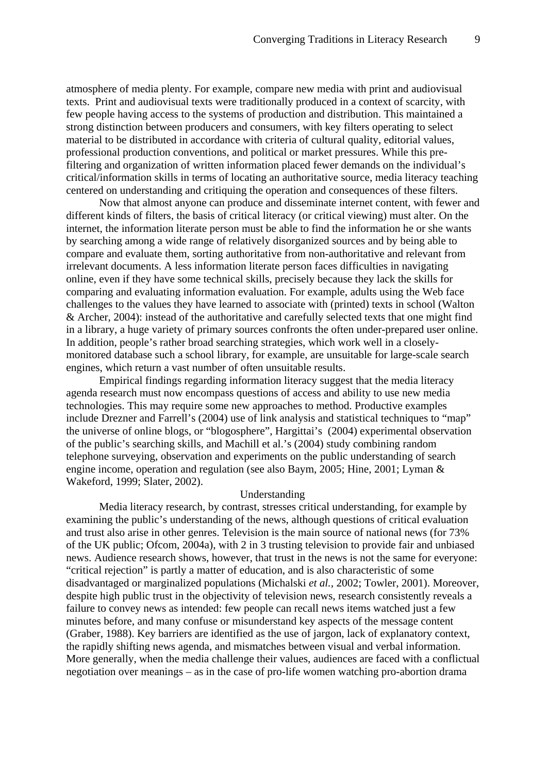atmosphere of media plenty. For example, compare new media with print and audiovisual texts. Print and audiovisual texts were traditionally produced in a context of scarcity, with few people having access to the systems of production and distribution. This maintained a strong distinction between producers and consumers, with key filters operating to select material to be distributed in accordance with criteria of cultural quality, editorial values, professional production conventions, and political or market pressures. While this prefiltering and organization of written information placed fewer demands on the individual's critical/information skills in terms of locating an authoritative source, media literacy teaching centered on understanding and critiquing the operation and consequences of these filters.

Now that almost anyone can produce and disseminate internet content, with fewer and different kinds of filters, the basis of critical literacy (or critical viewing) must alter. On the internet, the information literate person must be able to find the information he or she wants by searching among a wide range of relatively disorganized sources and by being able to compare and evaluate them, sorting authoritative from non-authoritative and relevant from irrelevant documents. A less information literate person faces difficulties in navigating online, even if they have some technical skills, precisely because they lack the skills for comparing and evaluating information evaluation. For example, adults using the Web face challenges to the values they have learned to associate with (printed) texts in school (Walton & Archer, 2004): instead of the authoritative and carefully selected texts that one might find in a library, a huge variety of primary sources confronts the often under-prepared user online. In addition, people's rather broad searching strategies, which work well in a closelymonitored database such a school library, for example, are unsuitable for large-scale search engines, which return a vast number of often unsuitable results.

Empirical findings regarding information literacy suggest that the media literacy agenda research must now encompass questions of access and ability to use new media technologies. This may require some new approaches to method. Productive examples include Drezner and Farrell's (2004) use of link analysis and statistical techniques to "map" the universe of online blogs, or "blogosphere", Hargittai's (2004) experimental observation of the public's searching skills, and Machill et al.'s (2004) study combining random telephone surveying, observation and experiments on the public understanding of search engine income, operation and regulation (see also Baym, 2005; Hine, 2001; Lyman & Wakeford, 1999; Slater, 2002).

#### Understanding

Media literacy research, by contrast, stresses critical understanding, for example by examining the public's understanding of the news, although questions of critical evaluation and trust also arise in other genres. Television is the main source of national news (for 73% of the UK public; Ofcom, 2004a), with 2 in 3 trusting television to provide fair and unbiased news. Audience research shows, however, that trust in the news is not the same for everyone: "critical rejection" is partly a matter of education, and is also characteristic of some disadvantaged or marginalized populations (Michalski *et al.*, 2002; Towler, 2001). Moreover, despite high public trust in the objectivity of television news, research consistently reveals a failure to convey news as intended: few people can recall news items watched just a few minutes before, and many confuse or misunderstand key aspects of the message content (Graber, 1988). Key barriers are identified as the use of jargon, lack of explanatory context, the rapidly shifting news agenda, and mismatches between visual and verbal information. More generally, when the media challenge their values, audiences are faced with a conflictual negotiation over meanings – as in the case of pro-life women watching pro-abortion drama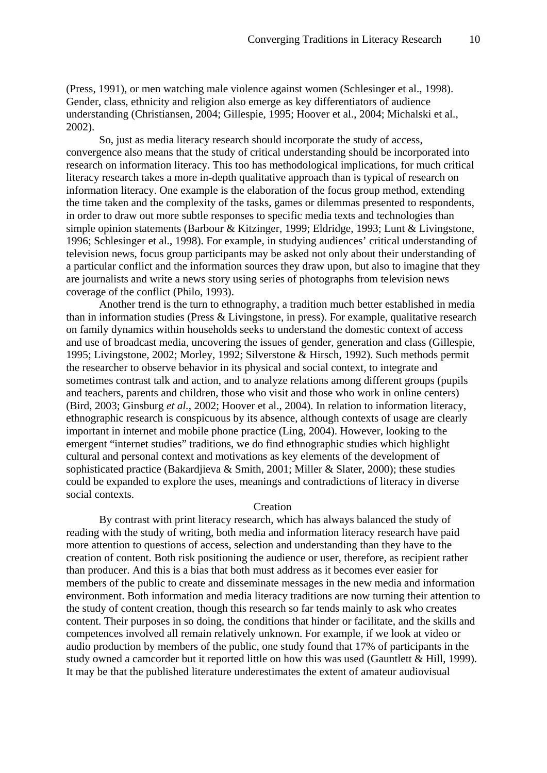(Press, 1991), or men watching male violence against women (Schlesinger et al., 1998). Gender, class, ethnicity and religion also emerge as key differentiators of audience understanding (Christiansen, 2004; Gillespie, 1995; Hoover et al., 2004; Michalski et al., 2002).

So, just as media literacy research should incorporate the study of access, convergence also means that the study of critical understanding should be incorporated into research on information literacy. This too has methodological implications, for much critical literacy research takes a more in-depth qualitative approach than is typical of research on information literacy. One example is the elaboration of the focus group method, extending the time taken and the complexity of the tasks, games or dilemmas presented to respondents, in order to draw out more subtle responses to specific media texts and technologies than simple opinion statements (Barbour & Kitzinger, 1999; Eldridge, 1993; Lunt & Livingstone, 1996; Schlesinger et al., 1998). For example, in studying audiences' critical understanding of television news, focus group participants may be asked not only about their understanding of a particular conflict and the information sources they draw upon, but also to imagine that they are journalists and write a news story using series of photographs from television news coverage of the conflict (Philo, 1993).

Another trend is the turn to ethnography, a tradition much better established in media than in information studies (Press & Livingstone, in press). For example, qualitative research on family dynamics within households seeks to understand the domestic context of access and use of broadcast media, uncovering the issues of gender, generation and class (Gillespie, 1995; Livingstone, 2002; Morley, 1992; Silverstone & Hirsch, 1992). Such methods permit the researcher to observe behavior in its physical and social context, to integrate and sometimes contrast talk and action, and to analyze relations among different groups (pupils and teachers, parents and children, those who visit and those who work in online centers) (Bird, 2003; Ginsburg *et al.*, 2002; Hoover et al., 2004). In relation to information literacy, ethnographic research is conspicuous by its absence, although contexts of usage are clearly important in internet and mobile phone practice (Ling, 2004). However, looking to the emergent "internet studies" traditions, we do find ethnographic studies which highlight cultural and personal context and motivations as key elements of the development of sophisticated practice (Bakardjieva & Smith, 2001; Miller & Slater, 2000); these studies could be expanded to explore the uses, meanings and contradictions of literacy in diverse social contexts.

#### Creation

By contrast with print literacy research, which has always balanced the study of reading with the study of writing, both media and information literacy research have paid more attention to questions of access, selection and understanding than they have to the creation of content. Both risk positioning the audience or user, therefore, as recipient rather than producer. And this is a bias that both must address as it becomes ever easier for members of the public to create and disseminate messages in the new media and information environment. Both information and media literacy traditions are now turning their attention to the study of content creation, though this research so far tends mainly to ask who creates content. Their purposes in so doing, the conditions that hinder or facilitate, and the skills and competences involved all remain relatively unknown. For example, if we look at video or audio production by members of the public, one study found that 17% of participants in the study owned a camcorder but it reported little on how this was used (Gauntlett & Hill, 1999). It may be that the published literature underestimates the extent of amateur audiovisual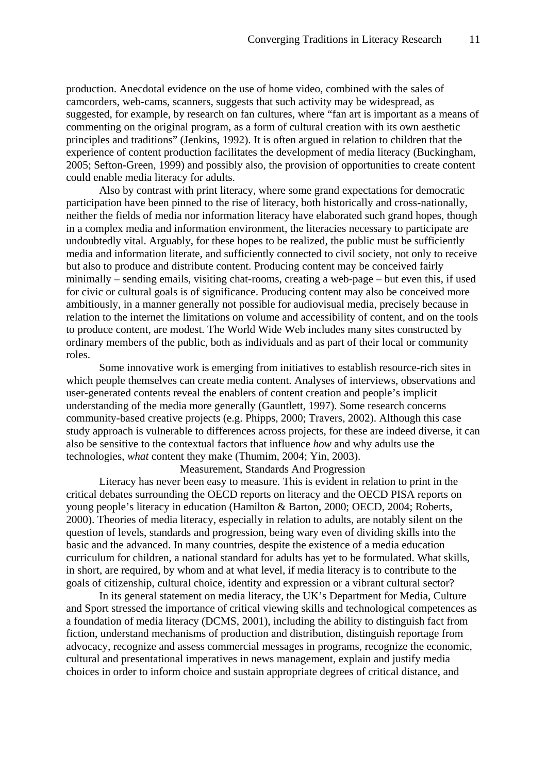production. Anecdotal evidence on the use of home video, combined with the sales of camcorders, web-cams, scanners, suggests that such activity may be widespread, as suggested, for example, by research on fan cultures, where "fan art is important as a means of commenting on the original program, as a form of cultural creation with its own aesthetic principles and traditions" (Jenkins, 1992). It is often argued in relation to children that the experience of content production facilitates the development of media literacy (Buckingham, 2005; Sefton-Green, 1999) and possibly also, the provision of opportunities to create content could enable media literacy for adults.

Also by contrast with print literacy, where some grand expectations for democratic participation have been pinned to the rise of literacy, both historically and cross-nationally, neither the fields of media nor information literacy have elaborated such grand hopes, though in a complex media and information environment, the literacies necessary to participate are undoubtedly vital. Arguably, for these hopes to be realized, the public must be sufficiently media and information literate, and sufficiently connected to civil society, not only to receive but also to produce and distribute content. Producing content may be conceived fairly minimally – sending emails, visiting chat-rooms, creating a web-page – but even this, if used for civic or cultural goals is of significance. Producing content may also be conceived more ambitiously, in a manner generally not possible for audiovisual media, precisely because in relation to the internet the limitations on volume and accessibility of content, and on the tools to produce content, are modest. The World Wide Web includes many sites constructed by ordinary members of the public, both as individuals and as part of their local or community roles.

Some innovative work is emerging from initiatives to establish resource-rich sites in which people themselves can create media content. Analyses of interviews, observations and user-generated contents reveal the enablers of content creation and people's implicit understanding of the media more generally (Gauntlett, 1997). Some research concerns community-based creative projects (e.g. Phipps, 2000; Travers, 2002). Although this case study approach is vulnerable to differences across projects, for these are indeed diverse, it can also be sensitive to the contextual factors that influence *how* and why adults use the technologies, *what* content they make (Thumim, 2004; Yin, 2003).

Measurement, Standards And Progression

Literacy has never been easy to measure. This is evident in relation to print in the critical debates surrounding the OECD reports on literacy and the OECD PISA reports on young people's literacy in education (Hamilton & Barton, 2000; OECD, 2004; Roberts, 2000). Theories of media literacy, especially in relation to adults, are notably silent on the question of levels, standards and progression, being wary even of dividing skills into the basic and the advanced. In many countries, despite the existence of a media education curriculum for children, a national standard for adults has yet to be formulated. What skills, in short, are required, by whom and at what level, if media literacy is to contribute to the goals of citizenship, cultural choice, identity and expression or a vibrant cultural sector?

In its general statement on media literacy, the UK's Department for Media, Culture and Sport stressed the importance of critical viewing skills and technological competences as a foundation of media literacy (DCMS, 2001), including the ability to distinguish fact from fiction, understand mechanisms of production and distribution, distinguish reportage from advocacy, recognize and assess commercial messages in programs, recognize the economic, cultural and presentational imperatives in news management, explain and justify media choices in order to inform choice and sustain appropriate degrees of critical distance, and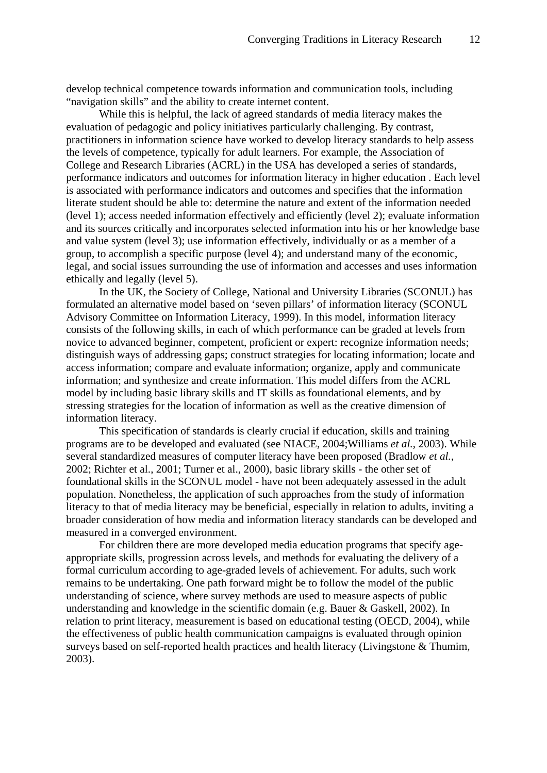develop technical competence towards information and communication tools, including "navigation skills" and the ability to create internet content.

While this is helpful, the lack of agreed standards of media literacy makes the evaluation of pedagogic and policy initiatives particularly challenging. By contrast, practitioners in information science have worked to develop literacy standards to help assess the levels of competence, typically for adult learners. For example, the Association of College and Research Libraries (ACRL) in the USA has developed a series of standards, performance indicators and outcomes for information literacy in higher education . Each level is associated with performance indicators and outcomes and specifies that the information literate student should be able to: determine the nature and extent of the information needed (level 1); access needed information effectively and efficiently (level 2); evaluate information and its sources critically and incorporates selected information into his or her knowledge base and value system (level 3); use information effectively, individually or as a member of a group, to accomplish a specific purpose (level 4); and understand many of the economic, legal, and social issues surrounding the use of information and accesses and uses information ethically and legally (level 5).

In the UK, the Society of College, National and University Libraries (SCONUL) has formulated an alternative model based on 'seven pillars' of information literacy (SCONUL Advisory Committee on Information Literacy, 1999). In this model, information literacy consists of the following skills, in each of which performance can be graded at levels from novice to advanced beginner, competent, proficient or expert: recognize information needs; distinguish ways of addressing gaps; construct strategies for locating information; locate and access information; compare and evaluate information; organize, apply and communicate information; and synthesize and create information. This model differs from the ACRL model by including basic library skills and IT skills as foundational elements, and by stressing strategies for the location of information as well as the creative dimension of information literacy.

This specification of standards is clearly crucial if education, skills and training programs are to be developed and evaluated (see NIACE, 2004;Williams *et al.*, 2003). While several standardized measures of computer literacy have been proposed (Bradlow *et al.*, 2002; Richter et al., 2001; Turner et al., 2000), basic library skills - the other set of foundational skills in the SCONUL model - have not been adequately assessed in the adult population. Nonetheless, the application of such approaches from the study of information literacy to that of media literacy may be beneficial, especially in relation to adults, inviting a broader consideration of how media and information literacy standards can be developed and measured in a converged environment.

For children there are more developed media education programs that specify ageappropriate skills, progression across levels, and methods for evaluating the delivery of a formal curriculum according to age-graded levels of achievement. For adults, such work remains to be undertaking. One path forward might be to follow the model of the public understanding of science, where survey methods are used to measure aspects of public understanding and knowledge in the scientific domain (e.g. Bauer & Gaskell, 2002). In relation to print literacy, measurement is based on educational testing (OECD, 2004), while the effectiveness of public health communication campaigns is evaluated through opinion surveys based on self-reported health practices and health literacy (Livingstone & Thumim, 2003).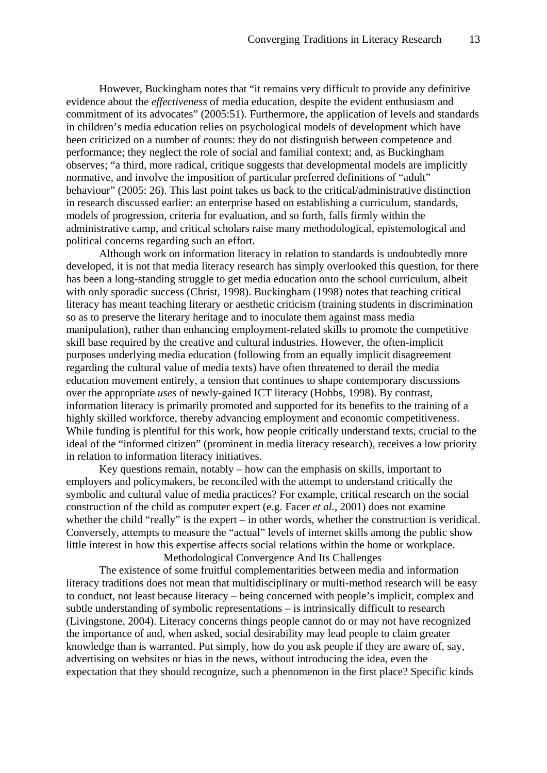However, Buckingham notes that "it remains very difficult to provide any definitive evidence about the *effectiveness* of media education, despite the evident enthusiasm and commitment of its advocates" (2005:51). Furthermore, the application of levels and standards in children's media education relies on psychological models of development which have been criticized on a number of counts: they do not distinguish between competence and performance; they neglect the role of social and familial context; and, as Buckingham observes; "a third, more radical, critique suggests that developmental models are implicitly normative, and involve the imposition of particular preferred definitions of "adult" behaviour" (2005: 26). This last point takes us back to the critical/administrative distinction in research discussed earlier: an enterprise based on establishing a curriculum, standards, models of progression, criteria for evaluation, and so forth, falls firmly within the administrative camp, and critical scholars raise many methodological, epistemological and political concerns regarding such an effort.

Although work on information literacy in relation to standards is undoubtedly more developed, it is not that media literacy research has simply overlooked this question, for there has been a long-standing struggle to get media education onto the school curriculum, albeit with only sporadic success (Christ, 1998). Buckingham (1998) notes that teaching critical literacy has meant teaching literary or aesthetic criticism (training students in discrimination so as to preserve the literary heritage and to inoculate them against mass media manipulation), rather than enhancing employment-related skills to promote the competitive skill base required by the creative and cultural industries. However, the often-implicit purposes underlying media education (following from an equally implicit disagreement regarding the cultural value of media texts) have often threatened to derail the media education movement entirely, a tension that continues to shape contemporary discussions over the appropriate *uses* of newly-gained ICT literacy (Hobbs, 1998). By contrast, information literacy is primarily promoted and supported for its benefits to the training of a highly skilled workforce, thereby advancing employment and economic competitiveness. While funding is plentiful for this work, how people critically understand texts, crucial to the ideal of the "informed citizen" (prominent in media literacy research), receives a low priority in relation to information literacy initiatives.

Key questions remain, notably – how can the emphasis on skills, important to employers and policymakers, be reconciled with the attempt to understand critically the symbolic and cultural value of media practices? For example, critical research on the social construction of the child as computer expert (e.g. Facer *et al.*, 2001) does not examine whether the child "really" is the expert – in other words, whether the construction is veridical. Conversely, attempts to measure the "actual" levels of internet skills among the public show little interest in how this expertise affects social relations within the home or workplace. Methodological Convergence And Its Challenges

The existence of some fruitful complementarities between media and information literacy traditions does not mean that multidisciplinary or multi-method research will be easy to conduct, not least because literacy – being concerned with people's implicit, complex and subtle understanding of symbolic representations – is intrinsically difficult to research (Livingstone, 2004). Literacy concerns things people cannot do or may not have recognized the importance of and, when asked, social desirability may lead people to claim greater knowledge than is warranted. Put simply, how do you ask people if they are aware of, say, advertising on websites or bias in the news, without introducing the idea, even the expectation that they should recognize, such a phenomenon in the first place? Specific kinds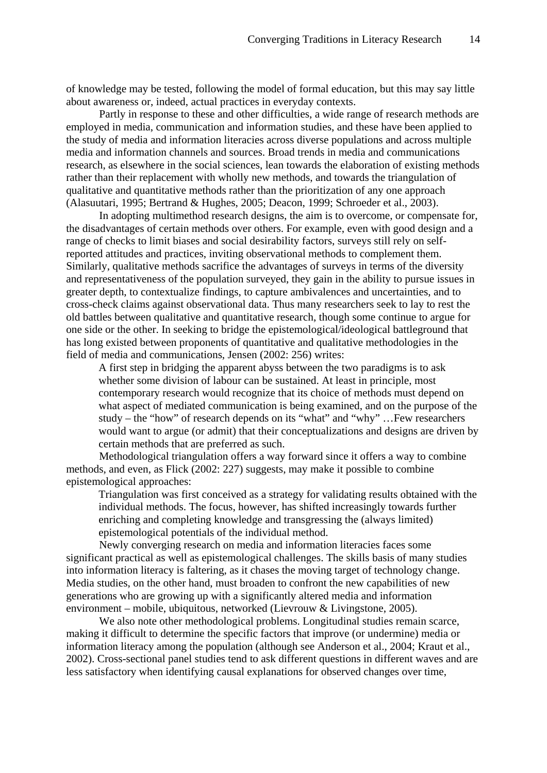of knowledge may be tested, following the model of formal education, but this may say little about awareness or, indeed, actual practices in everyday contexts.

Partly in response to these and other difficulties, a wide range of research methods are employed in media, communication and information studies, and these have been applied to the study of media and information literacies across diverse populations and across multiple media and information channels and sources. Broad trends in media and communications research, as elsewhere in the social sciences, lean towards the elaboration of existing methods rather than their replacement with wholly new methods, and towards the triangulation of qualitative and quantitative methods rather than the prioritization of any one approach (Alasuutari, 1995; Bertrand & Hughes, 2005; Deacon, 1999; Schroeder et al., 2003).

In adopting multimethod research designs, the aim is to overcome, or compensate for, the disadvantages of certain methods over others. For example, even with good design and a range of checks to limit biases and social desirability factors, surveys still rely on selfreported attitudes and practices, inviting observational methods to complement them. Similarly, qualitative methods sacrifice the advantages of surveys in terms of the diversity and representativeness of the population surveyed, they gain in the ability to pursue issues in greater depth, to contextualize findings, to capture ambivalences and uncertainties, and to cross-check claims against observational data. Thus many researchers seek to lay to rest the old battles between qualitative and quantitative research, though some continue to argue for one side or the other. In seeking to bridge the epistemological/ideological battleground that has long existed between proponents of quantitative and qualitative methodologies in the field of media and communications, Jensen (2002: 256) writes:

A first step in bridging the apparent abyss between the two paradigms is to ask whether some division of labour can be sustained. At least in principle, most contemporary research would recognize that its choice of methods must depend on what aspect of mediated communication is being examined, and on the purpose of the study – the "how" of research depends on its "what" and "why" …Few researchers would want to argue (or admit) that their conceptualizations and designs are driven by certain methods that are preferred as such.

Methodological triangulation offers a way forward since it offers a way to combine methods, and even, as Flick (2002: 227) suggests, may make it possible to combine epistemological approaches:

Triangulation was first conceived as a strategy for validating results obtained with the individual methods. The focus, however, has shifted increasingly towards further enriching and completing knowledge and transgressing the (always limited) epistemological potentials of the individual method.

Newly converging research on media and information literacies faces some significant practical as well as epistemological challenges. The skills basis of many studies into information literacy is faltering, as it chases the moving target of technology change. Media studies, on the other hand, must broaden to confront the new capabilities of new generations who are growing up with a significantly altered media and information environment – mobile, ubiquitous, networked (Lievrouw & Livingstone, 2005).

We also note other methodological problems. Longitudinal studies remain scarce, making it difficult to determine the specific factors that improve (or undermine) media or information literacy among the population (although see Anderson et al., 2004; Kraut et al., 2002). Cross-sectional panel studies tend to ask different questions in different waves and are less satisfactory when identifying causal explanations for observed changes over time,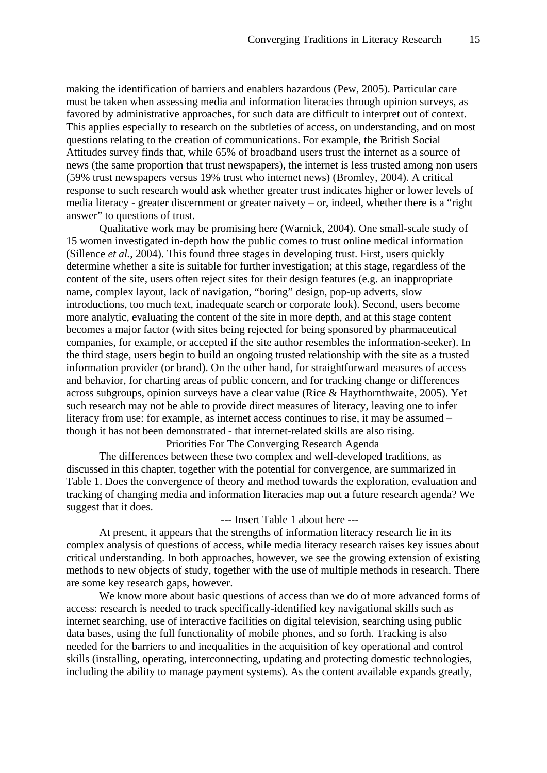making the identification of barriers and enablers hazardous (Pew, 2005). Particular care must be taken when assessing media and information literacies through opinion surveys, as favored by administrative approaches, for such data are difficult to interpret out of context. This applies especially to research on the subtleties of access, on understanding, and on most questions relating to the creation of communications. For example, the British Social Attitudes survey finds that, while 65% of broadband users trust the internet as a source of news (the same proportion that trust newspapers), the internet is less trusted among non users (59% trust newspapers versus 19% trust who internet news) (Bromley, 2004). A critical response to such research would ask whether greater trust indicates higher or lower levels of media literacy - greater discernment or greater naivety – or, indeed, whether there is a "right answer" to questions of trust.

Qualitative work may be promising here (Warnick, 2004). One small-scale study of 15 women investigated in-depth how the public comes to trust online medical information (Sillence *et al.*, 2004). This found three stages in developing trust. First, users quickly determine whether a site is suitable for further investigation; at this stage, regardless of the content of the site, users often reject sites for their design features (e.g. an inappropriate name, complex layout, lack of navigation, "boring" design, pop-up adverts, slow introductions, too much text, inadequate search or corporate look). Second, users become more analytic, evaluating the content of the site in more depth, and at this stage content becomes a major factor (with sites being rejected for being sponsored by pharmaceutical companies, for example, or accepted if the site author resembles the information-seeker). In the third stage, users begin to build an ongoing trusted relationship with the site as a trusted information provider (or brand). On the other hand, for straightforward measures of access and behavior, for charting areas of public concern, and for tracking change or differences across subgroups, opinion surveys have a clear value (Rice & Haythornthwaite, 2005). Yet such research may not be able to provide direct measures of literacy, leaving one to infer literacy from use: for example, as internet access continues to rise, it may be assumed – though it has not been demonstrated - that internet-related skills are also rising.

Priorities For The Converging Research Agenda

The differences between these two complex and well-developed traditions, as discussed in this chapter, together with the potential for convergence, are summarized in Table 1. Does the convergence of theory and method towards the exploration, evaluation and tracking of changing media and information literacies map out a future research agenda? We suggest that it does.

#### --- Insert Table 1 about here ---

At present, it appears that the strengths of information literacy research lie in its complex analysis of questions of access, while media literacy research raises key issues about critical understanding. In both approaches, however, we see the growing extension of existing methods to new objects of study, together with the use of multiple methods in research. There are some key research gaps, however.

We know more about basic questions of access than we do of more advanced forms of access: research is needed to track specifically-identified key navigational skills such as internet searching, use of interactive facilities on digital television, searching using public data bases, using the full functionality of mobile phones, and so forth. Tracking is also needed for the barriers to and inequalities in the acquisition of key operational and control skills (installing, operating, interconnecting, updating and protecting domestic technologies, including the ability to manage payment systems). As the content available expands greatly,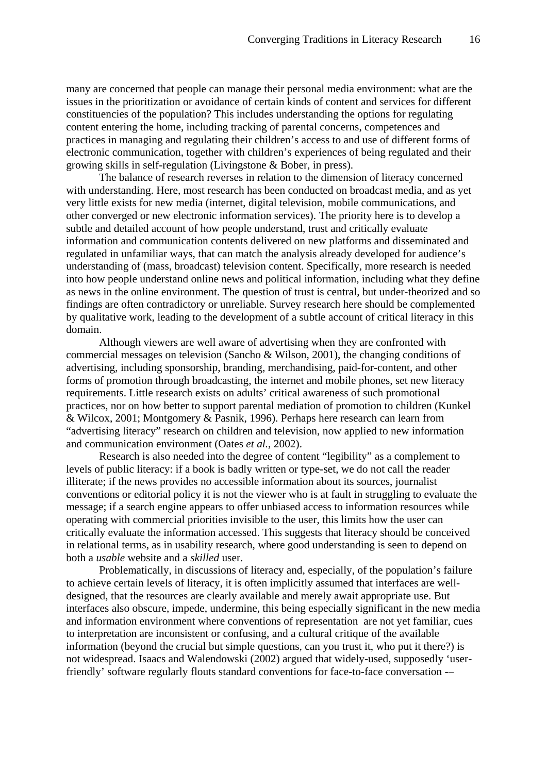many are concerned that people can manage their personal media environment: what are the issues in the prioritization or avoidance of certain kinds of content and services for different constituencies of the population? This includes understanding the options for regulating content entering the home, including tracking of parental concerns, competences and practices in managing and regulating their children's access to and use of different forms of electronic communication, together with children's experiences of being regulated and their growing skills in self-regulation (Livingstone & Bober, in press).

The balance of research reverses in relation to the dimension of literacy concerned with understanding. Here, most research has been conducted on broadcast media, and as yet very little exists for new media (internet, digital television, mobile communications, and other converged or new electronic information services). The priority here is to develop a subtle and detailed account of how people understand, trust and critically evaluate information and communication contents delivered on new platforms and disseminated and regulated in unfamiliar ways, that can match the analysis already developed for audience's understanding of (mass, broadcast) television content. Specifically, more research is needed into how people understand online news and political information, including what they define as news in the online environment. The question of trust is central, but under-theorized and so findings are often contradictory or unreliable. Survey research here should be complemented by qualitative work, leading to the development of a subtle account of critical literacy in this domain.

Although viewers are well aware of advertising when they are confronted with commercial messages on television (Sancho & Wilson, 2001), the changing conditions of advertising, including sponsorship, branding, merchandising, paid-for-content, and other forms of promotion through broadcasting, the internet and mobile phones, set new literacy requirements. Little research exists on adults' critical awareness of such promotional practices, nor on how better to support parental mediation of promotion to children (Kunkel & Wilcox, 2001; Montgomery & Pasnik, 1996). Perhaps here research can learn from "advertising literacy" research on children and television, now applied to new information and communication environment (Oates *et al.*, 2002).

Research is also needed into the degree of content "legibility" as a complement to levels of public literacy: if a book is badly written or type-set, we do not call the reader illiterate; if the news provides no accessible information about its sources, journalist conventions or editorial policy it is not the viewer who is at fault in struggling to evaluate the message; if a search engine appears to offer unbiased access to information resources while operating with commercial priorities invisible to the user, this limits how the user can critically evaluate the information accessed. This suggests that literacy should be conceived in relational terms, as in usability research, where good understanding is seen to depend on both a *usable* website and a *skilled* user.

Problematically, in discussions of literacy and, especially, of the population's failure to achieve certain levels of literacy, it is often implicitly assumed that interfaces are welldesigned, that the resources are clearly available and merely await appropriate use. But interfaces also obscure, impede, undermine, this being especially significant in the new media and information environment where conventions of representation are not yet familiar, cues to interpretation are inconsistent or confusing, and a cultural critique of the available information (beyond the crucial but simple questions, can you trust it, who put it there?) is not widespread. Isaacs and Walendowski (2002) argued that widely-used, supposedly 'userfriendly' software regularly flouts standard conventions for face-to-face conversation -–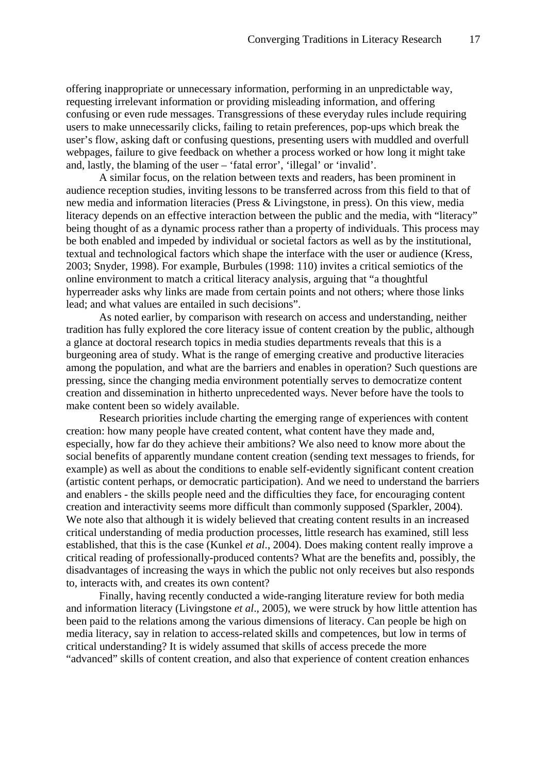offering inappropriate or unnecessary information, performing in an unpredictable way, requesting irrelevant information or providing misleading information, and offering confusing or even rude messages. Transgressions of these everyday rules include requiring users to make unnecessarily clicks, failing to retain preferences, pop-ups which break the user's flow, asking daft or confusing questions, presenting users with muddled and overfull webpages, failure to give feedback on whether a process worked or how long it might take and, lastly, the blaming of the user – 'fatal error', 'illegal' or 'invalid'.

A similar focus, on the relation between texts and readers, has been prominent in audience reception studies, inviting lessons to be transferred across from this field to that of new media and information literacies (Press & Livingstone, in press). On this view, media literacy depends on an effective interaction between the public and the media, with "literacy" being thought of as a dynamic process rather than a property of individuals. This process may be both enabled and impeded by individual or societal factors as well as by the institutional, textual and technological factors which shape the interface with the user or audience (Kress, 2003; Snyder, 1998). For example, Burbules (1998: 110) invites a critical semiotics of the online environment to match a critical literacy analysis, arguing that "a thoughtful hyperreader asks why links are made from certain points and not others; where those links lead; and what values are entailed in such decisions".

As noted earlier, by comparison with research on access and understanding, neither tradition has fully explored the core literacy issue of content creation by the public, although a glance at doctoral research topics in media studies departments reveals that this is a burgeoning area of study. What is the range of emerging creative and productive literacies among the population, and what are the barriers and enables in operation? Such questions are pressing, since the changing media environment potentially serves to democratize content creation and dissemination in hitherto unprecedented ways. Never before have the tools to make content been so widely available.

Research priorities include charting the emerging range of experiences with content creation: how many people have created content, what content have they made and, especially, how far do they achieve their ambitions? We also need to know more about the social benefits of apparently mundane content creation (sending text messages to friends, for example) as well as about the conditions to enable self-evidently significant content creation (artistic content perhaps, or democratic participation). And we need to understand the barriers and enablers - the skills people need and the difficulties they face, for encouraging content creation and interactivity seems more difficult than commonly supposed (Sparkler, 2004). We note also that although it is widely believed that creating content results in an increased critical understanding of media production processes, little research has examined, still less established, that this is the case (Kunkel *et al*., 2004). Does making content really improve a critical reading of professionally-produced contents? What are the benefits and, possibly, the disadvantages of increasing the ways in which the public not only receives but also responds to, interacts with, and creates its own content?

Finally, having recently conducted a wide-ranging literature review for both media and information literacy (Livingstone *et al*., 2005), we were struck by how little attention has been paid to the relations among the various dimensions of literacy. Can people be high on media literacy, say in relation to access-related skills and competences, but low in terms of critical understanding? It is widely assumed that skills of access precede the more "advanced" skills of content creation, and also that experience of content creation enhances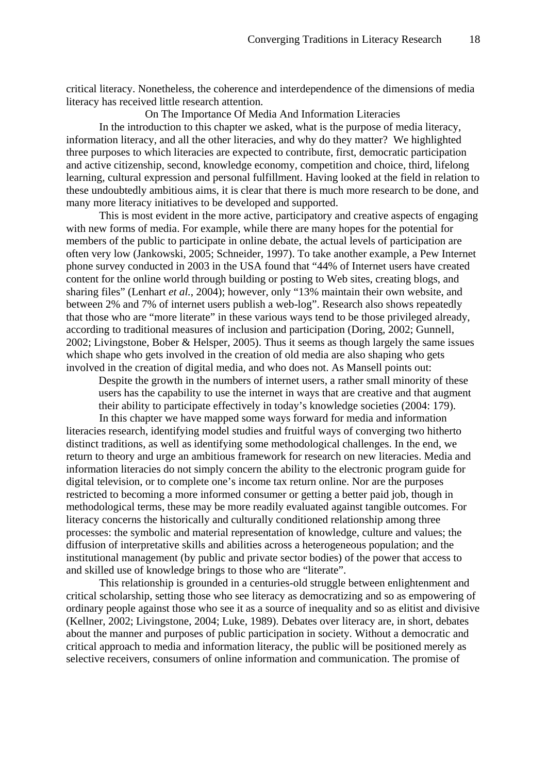critical literacy. Nonetheless, the coherence and interdependence of the dimensions of media literacy has received little research attention.

On The Importance Of Media And Information Literacies

In the introduction to this chapter we asked, what is the purpose of media literacy, information literacy, and all the other literacies, and why do they matter? We highlighted three purposes to which literacies are expected to contribute, first, democratic participation and active citizenship, second, knowledge economy, competition and choice, third, lifelong learning, cultural expression and personal fulfillment. Having looked at the field in relation to these undoubtedly ambitious aims, it is clear that there is much more research to be done, and many more literacy initiatives to be developed and supported.

This is most evident in the more active, participatory and creative aspects of engaging with new forms of media. For example, while there are many hopes for the potential for members of the public to participate in online debate, the actual levels of participation are often very low (Jankowski, 2005; Schneider, 1997). To take another example, a Pew Internet phone survey conducted in 2003 in the USA found that "44% of Internet users have created content for the online world through building or posting to Web sites, creating blogs, and sharing files" (Lenhart *et al.*, 2004); however, only "13% maintain their own website, and between 2% and 7% of internet users publish a web-log". Research also shows repeatedly that those who are "more literate" in these various ways tend to be those privileged already, according to traditional measures of inclusion and participation (Doring, 2002; Gunnell, 2002; Livingstone, Bober & Helsper, 2005). Thus it seems as though largely the same issues which shape who gets involved in the creation of old media are also shaping who gets involved in the creation of digital media, and who does not. As Mansell points out:

Despite the growth in the numbers of internet users, a rather small minority of these users has the capability to use the internet in ways that are creative and that augment their ability to participate effectively in today's knowledge societies (2004: 179).

In this chapter we have mapped some ways forward for media and information literacies research, identifying model studies and fruitful ways of converging two hitherto distinct traditions, as well as identifying some methodological challenges. In the end, we return to theory and urge an ambitious framework for research on new literacies. Media and information literacies do not simply concern the ability to the electronic program guide for digital television, or to complete one's income tax return online. Nor are the purposes restricted to becoming a more informed consumer or getting a better paid job, though in methodological terms, these may be more readily evaluated against tangible outcomes. For literacy concerns the historically and culturally conditioned relationship among three processes: the symbolic and material representation of knowledge, culture and values; the diffusion of interpretative skills and abilities across a heterogeneous population; and the institutional management (by public and private sector bodies) of the power that access to and skilled use of knowledge brings to those who are "literate".

This relationship is grounded in a centuries-old struggle between enlightenment and critical scholarship, setting those who see literacy as democratizing and so as empowering of ordinary people against those who see it as a source of inequality and so as elitist and divisive (Kellner, 2002; Livingstone, 2004; Luke, 1989). Debates over literacy are, in short, debates about the manner and purposes of public participation in society. Without a democratic and critical approach to media and information literacy, the public will be positioned merely as selective receivers, consumers of online information and communication. The promise of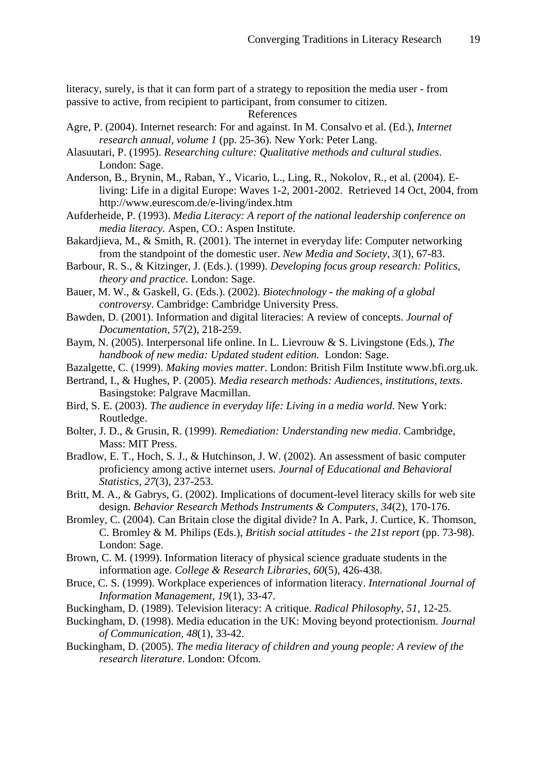literacy, surely, is that it can form part of a strategy to reposition the media user - from passive to active, from recipient to participant, from consumer to citizen.

## References

- Agre, P. (2004). Internet research: For and against. In M. Consalvo et al. (Ed.), *Internet research annual, volume 1* (pp. 25-36). New York: Peter Lang.
- Alasuutari, P. (1995). *Researching culture: Qualitative methods and cultural studies*. London: Sage.
- Anderson, B., Brynin, M., Raban, Y., Vicario, L., Ling, R., Nokolov, R., et al. (2004). Eliving: Life in a digital Europe: Waves 1-2, 2001-2002. Retrieved 14 Oct, 2004, from http://www.eurescom.de/e-living/index.htm
- Aufderheide, P. (1993). *Media Literacy: A report of the national leadership conference on media literacy.* Aspen, CO.: Aspen Institute.
- Bakardjieva, M., & Smith, R. (2001). The internet in everyday life: Computer networking from the standpoint of the domestic user. *New Media and Society, 3*(1), 67-83.
- Barbour, R. S., & Kitzinger, J. (Eds.). (1999). *Developing focus group research: Politics, theory and practice*. London: Sage.
- Bauer, M. W., & Gaskell, G. (Eds.). (2002). *Biotechnology the making of a global controversy*. Cambridge: Cambridge University Press.
- Bawden, D. (2001). Information and digital literacies: A review of concepts. *Journal of Documentation, 57*(2), 218-259.
- Baym, N. (2005). Interpersonal life online. In L. Lievrouw & S. Livingstone (Eds.), *The handbook of new media: Updated student edition.* London: Sage.
- Bazalgette, C. (1999). *Making movies matter*. London: British Film Institute www.bfi.org.uk.
- Bertrand, I., & Hughes, P. (2005). *Media research methods: Audiences, institutions, texts*. Basingstoke: Palgrave Macmillan.
- Bird, S. E. (2003). *The audience in everyday life: Living in a media world*. New York: Routledge.
- Bolter, J. D., & Grusin, R. (1999). *Remediation: Understanding new media*. Cambridge, Mass: MIT Press.
- Bradlow, E. T., Hoch, S. J., & Hutchinson, J. W. (2002). An assessment of basic computer proficiency among active internet users. *Journal of Educational and Behavioral Statistics, 27*(3), 237-253.
- Britt, M. A., & Gabrys, G. (2002). Implications of document-level literacy skills for web site design. *Behavior Research Methods Instruments & Computers, 34*(2), 170-176.
- Bromley, C. (2004). Can Britain close the digital divide? In A. Park, J. Curtice, K. Thomson, C. Bromley & M. Philips (Eds.), *British social attitudes - the 21st report* (pp. 73-98). London: Sage.
- Brown, C. M. (1999). Information literacy of physical science graduate students in the information age. *College & Research Libraries, 60*(5), 426-438.
- Bruce, C. S. (1999). Workplace experiences of information literacy. *International Journal of Information Management, 19*(1), 33-47.
- Buckingham, D. (1989). Television literacy: A critique. *Radical Philosophy, 51*, 12-25.
- Buckingham, D. (1998). Media education in the UK: Moving beyond protectionism. *Journal of Communication, 48*(1), 33-42.
- Buckingham, D. (2005). *The media literacy of children and young people: A review of the research literature*. London: Ofcom.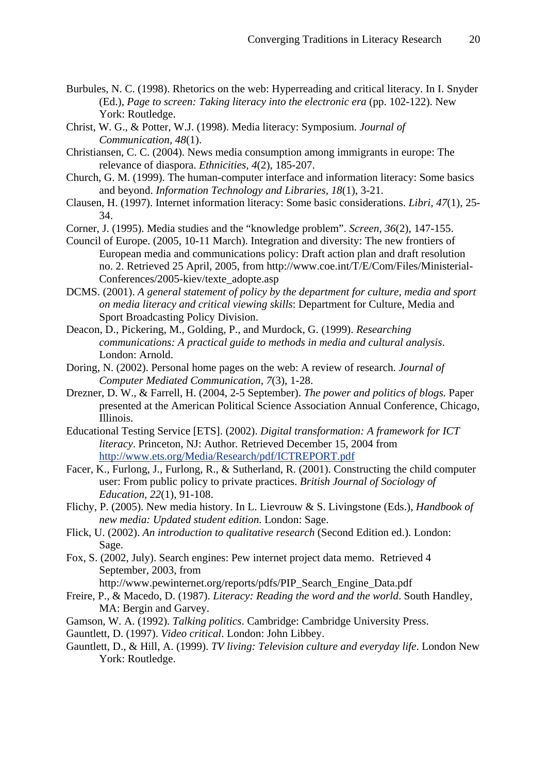- Burbules, N. C. (1998). Rhetorics on the web: Hyperreading and critical literacy. In I. Snyder (Ed.), *Page to screen: Taking literacy into the electronic era* (pp. 102-122). New York: Routledge.
- Christ, W. G., & Potter, W.J. (1998). Media literacy: Symposium. *Journal of Communication, 48*(1).
- Christiansen, C. C. (2004). News media consumption among immigrants in europe: The relevance of diaspora. *Ethnicities, 4*(2), 185-207.
- Church, G. M. (1999). The human-computer interface and information literacy: Some basics and beyond. *Information Technology and Libraries, 18*(1), 3-21.
- Clausen, H. (1997). Internet information literacy: Some basic considerations. *Libri, 47*(1), 25- 34.
- Corner, J. (1995). Media studies and the "knowledge problem". *Screen, 36*(2), 147-155.
- Council of Europe. (2005, 10-11 March). Integration and diversity: The new frontiers of European media and communications policy: Draft action plan and draft resolution no. 2. Retrieved 25 April, 2005, from http://www.coe.int/T/E/Com/Files/Ministerial-Conferences/2005-kiev/texte\_adopte.asp
- DCMS. (2001). *A general statement of policy by the department for culture, media and sport on media literacy and critical viewing skills*: Department for Culture, Media and Sport Broadcasting Policy Division.
- Deacon, D., Pickering, M., Golding, P., and Murdock, G. (1999). *Researching communications: A practical guide to methods in media and cultural analysis*. London: Arnold.
- Doring, N. (2002). Personal home pages on the web: A review of research. *Journal of Computer Mediated Communication, 7*(3), 1-28.
- Drezner, D. W., & Farrell, H. (2004, 2-5 September). *The power and politics of blogs.* Paper presented at the American Political Science Association Annual Conference, Chicago, Illinois.
- Educational Testing Service [ETS]. (2002). *Digital transformation: A framework for ICT literacy*. Princeton, NJ: Author*.* Retrieved December 15, 2004 from [http://www.ets.org/Media/Research/pdf/ICTREPORT.pdf](https://exchange.lse.ac.uk/exchweb/bin/redir.asp?URL=http://www.ets.org/Media/Research/pdf/ICTREPORT.pdf)
- Facer, K., Furlong, J., Furlong, R., & Sutherland, R. (2001). Constructing the child computer user: From public policy to private practices. *British Journal of Sociology of Education, 22*(1), 91-108.
- Flichy, P. (2005). New media history. In L. Lievrouw & S. Livingstone (Eds.), *Handbook of new media: Updated student edition*. London: Sage.
- Flick, U. (2002). *An introduction to qualitative research* (Second Edition ed.). London: Sage.
- Fox, S. (2002, July). Search engines: Pew internet project data memo. Retrieved 4 September, 2003, from
	- http://www.pewinternet.org/reports/pdfs/PIP\_Search\_Engine\_Data.pdf
- Freire, P., & Macedo, D. (1987). *Literacy: Reading the word and the world*. South Handley, MA: Bergin and Garvey.
- Gamson, W. A. (1992). *Talking politics*. Cambridge: Cambridge University Press.
- Gauntlett, D. (1997). *Video critical*. London: John Libbey.
- Gauntlett, D., & Hill, A. (1999). *TV living: Television culture and everyday life*. London New York: Routledge.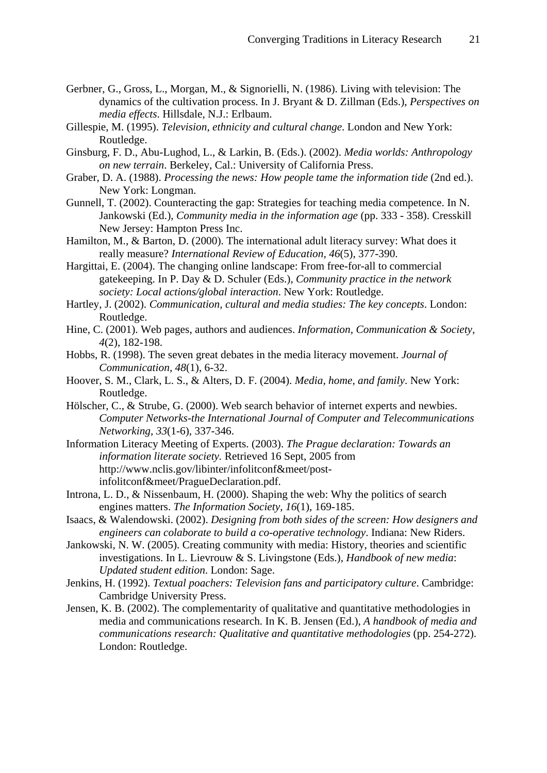- Gerbner, G., Gross, L., Morgan, M., & Signorielli, N. (1986). Living with television: The dynamics of the cultivation process. In J. Bryant & D. Zillman (Eds.), *Perspectives on media effects*. Hillsdale, N.J.: Erlbaum.
- Gillespie, M. (1995). *Television, ethnicity and cultural change*. London and New York: Routledge.
- Ginsburg, F. D., Abu-Lughod, L., & Larkin, B. (Eds.). (2002). *Media worlds: Anthropology on new terrain*. Berkeley, Cal.: University of California Press.
- Graber, D. A. (1988). *Processing the news: How people tame the information tide* (2nd ed.). New York: Longman.
- Gunnell, T. (2002). Counteracting the gap: Strategies for teaching media competence. In N. Jankowski (Ed.), *Community media in the information age* (pp. 333 - 358). Cresskill New Jersey: Hampton Press Inc.
- Hamilton, M., & Barton, D. (2000). The international adult literacy survey: What does it really measure? *International Review of Education, 46*(5), 377-390.
- Hargittai, E. (2004). The changing online landscape: From free-for-all to commercial gatekeeping. In P. Day & D. Schuler (Eds.), *Community practice in the network society: Local actions/global interaction*. New York: Routledge.
- Hartley, J. (2002). *Communication, cultural and media studies: The key concepts*. London: Routledge.
- Hine, C. (2001). Web pages, authors and audiences. *Information, Communication & Society, 4*(2), 182-198.
- Hobbs, R. (1998). The seven great debates in the media literacy movement. *Journal of Communication, 48*(1), 6-32.
- Hoover, S. M., Clark, L. S., & Alters, D. F. (2004). *Media, home, and family*. New York: Routledge.
- Hölscher, C., & Strube, G. (2000). Web search behavior of internet experts and newbies. *Computer Networks-the International Journal of Computer and Telecommunications Networking, 33*(1-6), 337-346.
- Information Literacy Meeting of Experts. (2003). *The Prague declaration: Towards an information literate society.* Retrieved 16 Sept, 2005 from http://www.nclis.gov/libinter/infolitconf&meet/postinfolitconf&meet/PragueDeclaration.pdf.
- Introna, L. D., & Nissenbaum, H. (2000). Shaping the web: Why the politics of search engines matters. *The Information Society, 16*(1), 169-185.
- Isaacs, & Walendowski. (2002). *Designing from both sides of the screen: How designers and engineers can colaborate to build a co-operative technology*. Indiana: New Riders.
- Jankowski, N. W. (2005). Creating community with media: History, theories and scientific investigations. In L. Lievrouw & S. Livingstone (Eds.), *Handbook of new media*: *Updated student edition*. London: Sage.
- Jenkins, H. (1992). *Textual poachers: Television fans and participatory culture*. Cambridge: Cambridge University Press.
- Jensen, K. B. (2002). The complementarity of qualitative and quantitative methodologies in media and communications research. In K. B. Jensen (Ed.), *A handbook of media and communications research: Qualitative and quantitative methodologies* (pp. 254-272). London: Routledge.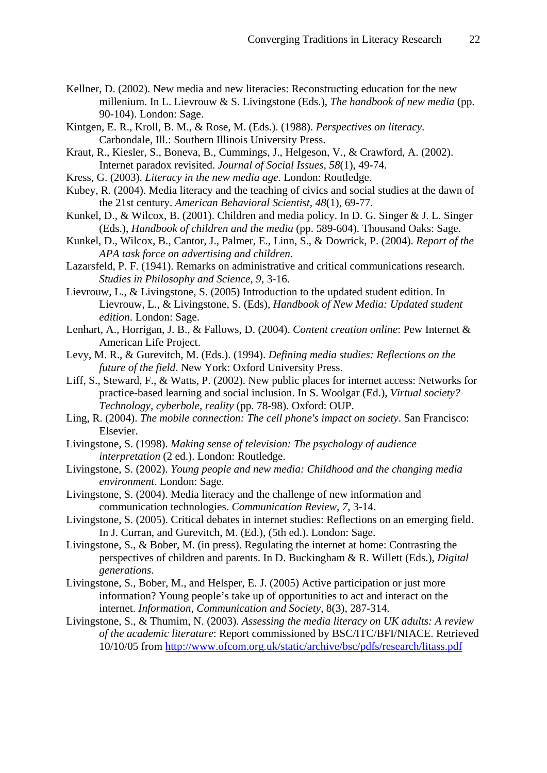- Kellner, D. (2002). New media and new literacies: Reconstructing education for the new millenium. In L. Lievrouw & S. Livingstone (Eds.), *The handbook of new media* (pp. 90-104). London: Sage.
- Kintgen, E. R., Kroll, B. M., & Rose, M. (Eds.). (1988). *Perspectives on literacy*. Carbondale, Ill.: Southern Illinois University Press.
- Kraut, R., Kiesler, S., Boneva, B., Cummings, J., Helgeson, V., & Crawford, A. (2002). Internet paradox revisited. *Journal of Social Issues, 58*(1), 49-74.
- Kress, G. (2003). *Literacy in the new media age*. London: Routledge.
- Kubey, R. (2004). Media literacy and the teaching of civics and social studies at the dawn of the 21st century. *American Behavioral Scientist, 48*(1), 69-77.
- Kunkel, D., & Wilcox, B. (2001). Children and media policy. In D. G. Singer & J. L. Singer (Eds.), *Handbook of children and the media* (pp. 589-604). Thousand Oaks: Sage.
- Kunkel, D., Wilcox, B., Cantor, J., Palmer, E., Linn, S., & Dowrick, P. (2004). *Report of the APA task force on advertising and children*.
- Lazarsfeld, P. F. (1941). Remarks on administrative and critical communications research. *Studies in Philosophy and Science, 9*, 3-16.
- Lievrouw, L., & Livingstone, S. (2005) Introduction to the updated student edition. In Lievrouw, L., & Livingstone, S. (Eds), *Handbook of New Media: Updated student edition*. London: Sage.
- Lenhart, A., Horrigan, J. B., & Fallows, D. (2004). *Content creation online*: Pew Internet & American Life Project.
- Levy, M. R., & Gurevitch, M. (Eds.). (1994). *Defining media studies: Reflections on the future of the field*. New York: Oxford University Press.
- Liff, S., Steward, F., & Watts, P. (2002). New public places for internet access: Networks for practice-based learning and social inclusion. In S. Woolgar (Ed.), *Virtual society? Technology, cyberbole, reality* (pp. 78-98). Oxford: OUP.
- Ling, R. (2004). *The mobile connection: The cell phone's impact on society*. San Francisco: Elsevier.
- Livingstone, S. (1998). *Making sense of television: The psychology of audience interpretation* (2 ed.). London: Routledge.
- Livingstone, S. (2002). *Young people and new media: Childhood and the changing media environment*. London: Sage.
- Livingstone, S. (2004). Media literacy and the challenge of new information and communication technologies. *Communication Review, 7*, 3-14.
- Livingstone, S. (2005). Critical debates in internet studies: Reflections on an emerging field. In J. Curran, and Gurevitch, M. (Ed.), (5th ed.). London: Sage.
- Livingstone, S., & Bober, M. (in press). Regulating the internet at home: Contrasting the perspectives of children and parents. In D. Buckingham & R. Willett (Eds.), *Digital generations*.
- Livingstone, S., Bober, M., and Helsper, E. J. (2005) Active participation or just more information? Young people's take up of opportunities to act and interact on the internet. *Information, Communication and Society*, 8(3), 287-314.
- Livingstone, S., & Thumim, N. (2003). *Assessing the media literacy on UK adults: A review of the academic literature*: Report commissioned by BSC/ITC/BFI/NIACE. Retrieved 10/10/05 from <http://www.ofcom.org.uk/static/archive/bsc/pdfs/research/litass.pdf>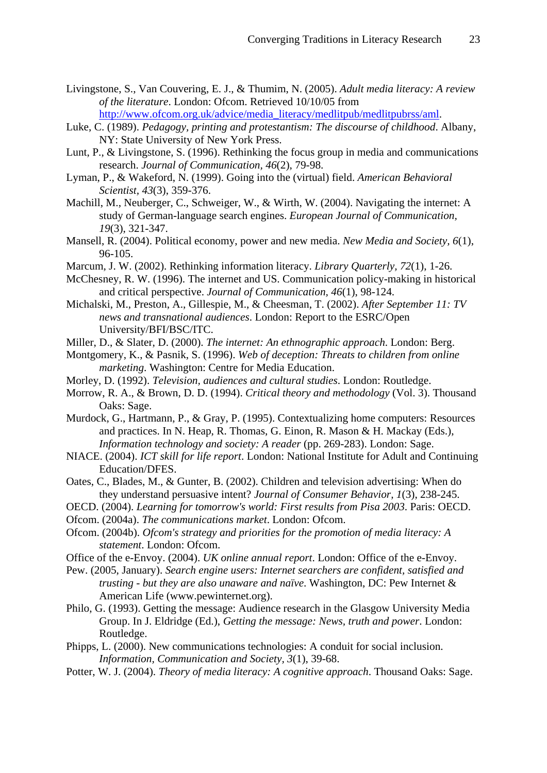- Livingstone, S., Van Couvering, E. J., & Thumim, N. (2005). *Adult media literacy: A review of the literature*. London: Ofcom. Retrieved 10/10/05 from [http://www.ofcom.org.uk/advice/media\\_literacy/medlitpub/medlitpubrss/aml](http://www.ofcom.org.uk/advice/media_literacy/medlitpub/medlitpubrss/aml).
- Luke, C. (1989). *Pedagogy, printing and protestantism: The discourse of childhood*. Albany, NY: State University of New York Press.
- Lunt, P., & Livingstone, S. (1996). Rethinking the focus group in media and communications research. *Journal of Communication, 46*(2), 79-98.
- Lyman, P., & Wakeford, N. (1999). Going into the (virtual) field. *American Behavioral Scientist, 43*(3), 359-376.
- Machill, M., Neuberger, C., Schweiger, W., & Wirth, W. (2004). Navigating the internet: A study of German-language search engines. *European Journal of Communication, 19*(3), 321-347.
- Mansell, R. (2004). Political economy, power and new media. *New Media and Society, 6*(1), 96-105.
- Marcum, J. W. (2002). Rethinking information literacy. *Library Quarterly, 72*(1), 1-26.
- McChesney, R. W. (1996). The internet and US. Communication policy-making in historical and critical perspective. *Journal of Communication, 46*(1), 98-124.
- Michalski, M., Preston, A., Gillespie, M., & Cheesman, T. (2002). *After September 11: TV news and transnational audiences*. London: Report to the ESRC/Open University/BFI/BSC/ITC.
- Miller, D., & Slater, D. (2000). *The internet: An ethnographic approach*. London: Berg.
- Montgomery, K., & Pasnik, S. (1996). *Web of deception: Threats to children from online marketing*. Washington: Centre for Media Education.
- Morley, D. (1992). *Television, audiences and cultural studies*. London: Routledge.
- Morrow, R. A., & Brown, D. D. (1994). *Critical theory and methodology* (Vol. 3). Thousand Oaks: Sage.
- Murdock, G., Hartmann, P., & Gray, P. (1995). Contextualizing home computers: Resources and practices. In N. Heap, R. Thomas, G. Einon, R. Mason & H. Mackay (Eds.), *Information technology and society: A reader* (pp. 269-283). London: Sage.
- NIACE. (2004). *ICT skill for life report*. London: National Institute for Adult and Continuing Education/DFES.
- Oates, C., Blades, M., & Gunter, B. (2002). Children and television advertising: When do they understand persuasive intent? *Journal of Consumer Behavior, 1*(3), 238-245.
- OECD. (2004). *Learning for tomorrow's world: First results from Pisa 2003*. Paris: OECD.

Ofcom. (2004a). *The communications market*. London: Ofcom.

- Ofcom. (2004b). *Ofcom's strategy and priorities for the promotion of media literacy: A statement*. London: Ofcom.
- Office of the e-Envoy. (2004). *UK online annual report*. London: Office of the e-Envoy.
- Pew. (2005, January). *Search engine users: Internet searchers are confident, satisfied and trusting - but they are also unaware and naïve*. Washington, DC: Pew Internet & American Life (www.pewinternet.org).
- Philo, G. (1993). Getting the message: Audience research in the Glasgow University Media Group. In J. Eldridge (Ed.), *Getting the message: News, truth and power*. London: Routledge.
- Phipps, L. (2000). New communications technologies: A conduit for social inclusion. *Information, Communication and Society, 3*(1), 39-68.
- Potter, W. J. (2004). *Theory of media literacy: A cognitive approach*. Thousand Oaks: Sage.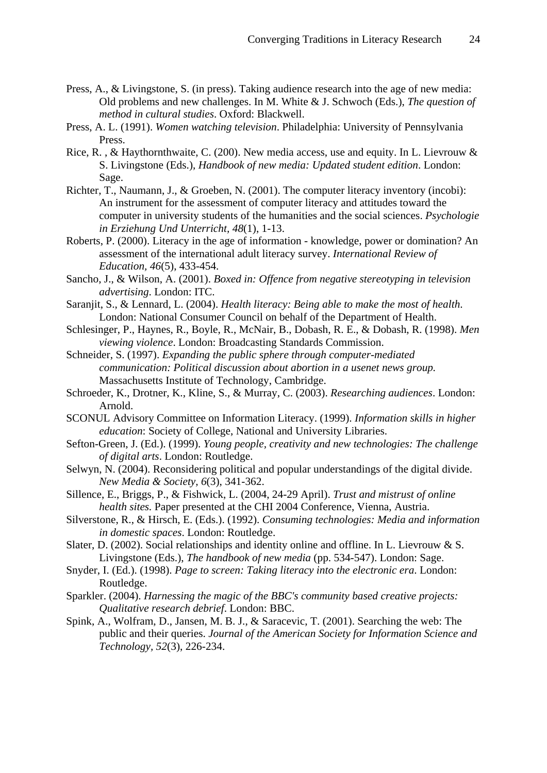- Press, A., & Livingstone, S. (in press). Taking audience research into the age of new media: Old problems and new challenges. In M. White & J. Schwoch (Eds.), *The question of method in cultural studies*. Oxford: Blackwell.
- Press, A. L. (1991). *Women watching television*. Philadelphia: University of Pennsylvania Press.
- Rice, R. , & Haythornthwaite, C. (200). New media access, use and equity. In L. Lievrouw & S. Livingstone (Eds.), *Handbook of new media: Updated student edition*. London: Sage.
- Richter, T., Naumann, J., & Groeben, N. (2001). The computer literacy inventory (incobi): An instrument for the assessment of computer literacy and attitudes toward the computer in university students of the humanities and the social sciences. *Psychologie in Erziehung Und Unterricht, 48*(1), 1-13.
- Roberts, P. (2000). Literacy in the age of information knowledge, power or domination? An assessment of the international adult literacy survey. *International Review of Education, 46*(5), 433-454.
- Sancho, J., & Wilson, A. (2001). *Boxed in: Offence from negative stereotyping in television advertising*. London: ITC.
- Saranjit, S., & Lennard, L. (2004). *Health literacy: Being able to make the most of health*. London: National Consumer Council on behalf of the Department of Health.
- Schlesinger, P., Haynes, R., Boyle, R., McNair, B., Dobash, R. E., & Dobash, R. (1998). *Men viewing violence*. London: Broadcasting Standards Commission.
- Schneider, S. (1997). *Expanding the public sphere through computer-mediated communication: Political discussion about abortion in a usenet news group.* Massachusetts Institute of Technology, Cambridge.
- Schroeder, K., Drotner, K., Kline, S., & Murray, C. (2003). *Researching audiences*. London: Arnold.
- SCONUL Advisory Committee on Information Literacy. (1999). *Information skills in higher education*: Society of College, National and University Libraries.
- Sefton-Green, J. (Ed.). (1999). *Young people, creativity and new technologies: The challenge of digital arts*. London: Routledge.
- Selwyn, N. (2004). Reconsidering political and popular understandings of the digital divide. *New Media & Society, 6*(3), 341-362.
- Sillence, E., Briggs, P., & Fishwick, L. (2004, 24-29 April). *Trust and mistrust of online health sites.* Paper presented at the CHI 2004 Conference, Vienna, Austria.
- Silverstone, R., & Hirsch, E. (Eds.). (1992). *Consuming technologies: Media and information in domestic spaces*. London: Routledge.
- Slater, D. (2002). Social relationships and identity online and offline. In L. Lievrouw & S. Livingstone (Eds.), *The handbook of new media* (pp. 534-547). London: Sage.
- Snyder, I. (Ed.). (1998). *Page to screen: Taking literacy into the electronic era*. London: Routledge.
- Sparkler. (2004). *Harnessing the magic of the BBC's community based creative projects: Qualitative research debrief*. London: BBC.
- Spink, A., Wolfram, D., Jansen, M. B. J., & Saracevic, T. (2001). Searching the web: The public and their queries. *Journal of the American Society for Information Science and Technology, 52*(3), 226-234.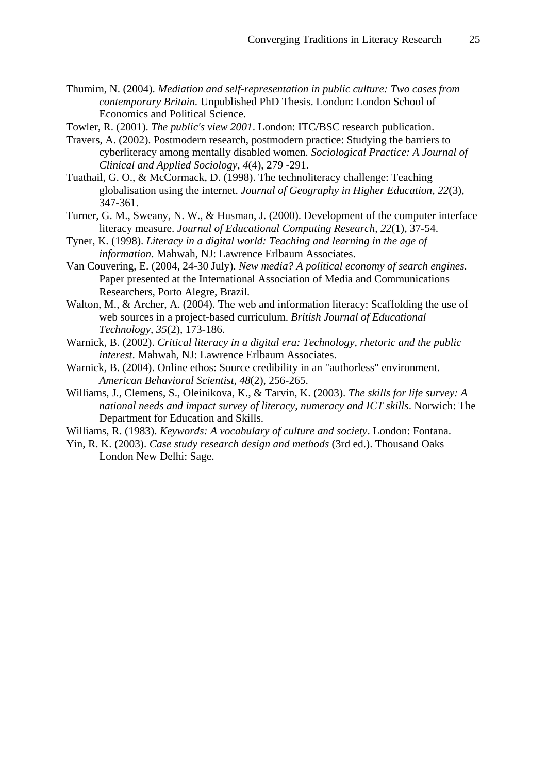Thumim, N. (2004). *Mediation and self-representation in public culture: Two cases from contemporary Britain.* Unpublished PhD Thesis. London: London School of Economics and Political Science.

Towler, R. (2001). *The public's view 2001*. London: ITC/BSC research publication.

- Travers, A. (2002). Postmodern research, postmodern practice: Studying the barriers to cyberliteracy among mentally disabled women. *Sociological Practice: A Journal of Clinical and Applied Sociology, 4*(4), 279 -291.
- Tuathail, G. O., & McCormack, D. (1998). The technoliteracy challenge: Teaching globalisation using the internet. *Journal of Geography in Higher Education, 22*(3), 347-361.
- Turner, G. M., Sweany, N. W., & Husman, J. (2000). Development of the computer interface literacy measure. *Journal of Educational Computing Research, 22*(1), 37-54.
- Tyner, K. (1998). *Literacy in a digital world: Teaching and learning in the age of information*. Mahwah, NJ: Lawrence Erlbaum Associates.
- Van Couvering, E. (2004, 24-30 July). *New media? A political economy of search engines.* Paper presented at the International Association of Media and Communications Researchers, Porto Alegre, Brazil.
- Walton, M., & Archer, A. (2004). The web and information literacy: Scaffolding the use of web sources in a project-based curriculum. *British Journal of Educational Technology, 35*(2), 173-186.
- Warnick, B. (2002). *Critical literacy in a digital era: Technology, rhetoric and the public interest*. Mahwah, NJ: Lawrence Erlbaum Associates.
- Warnick, B. (2004). Online ethos: Source credibility in an "authorless" environment. *American Behavioral Scientist, 48*(2), 256-265.
- Williams, J., Clemens, S., Oleinikova, K., & Tarvin, K. (2003). *The skills for life survey: A national needs and impact survey of literacy, numeracy and ICT skills*. Norwich: The Department for Education and Skills.
- Williams, R. (1983). *Keywords: A vocabulary of culture and society*. London: Fontana.
- Yin, R. K. (2003). *Case study research design and methods* (3rd ed.). Thousand Oaks London New Delhi: Sage.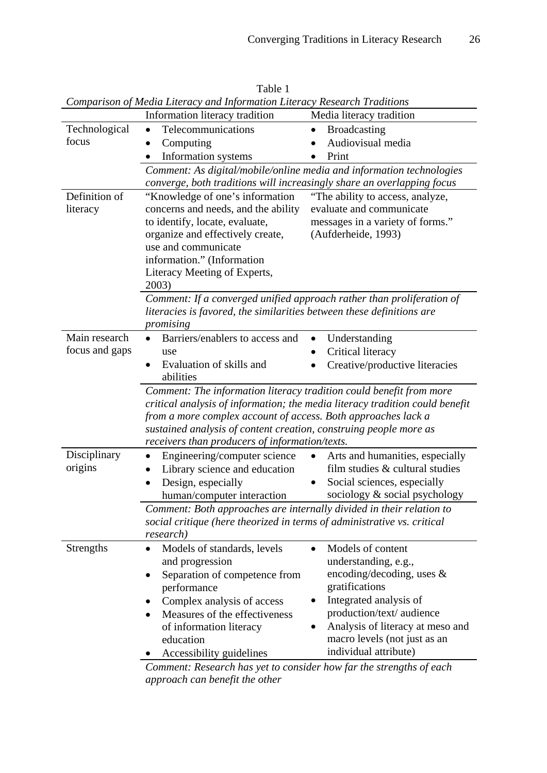| Comparison of Media Literacy and Information Literacy Research Traditions |                                                                                                                                                                                                                                                                                                                                             |                                                                      |  |
|---------------------------------------------------------------------------|---------------------------------------------------------------------------------------------------------------------------------------------------------------------------------------------------------------------------------------------------------------------------------------------------------------------------------------------|----------------------------------------------------------------------|--|
|                                                                           | Information literacy tradition                                                                                                                                                                                                                                                                                                              | Media literacy tradition                                             |  |
| Technological                                                             | Telecommunications<br>$\bullet$                                                                                                                                                                                                                                                                                                             | <b>Broadcasting</b><br>٠                                             |  |
| focus                                                                     | Computing                                                                                                                                                                                                                                                                                                                                   | Audiovisual media                                                    |  |
|                                                                           | Information systems                                                                                                                                                                                                                                                                                                                         | Print                                                                |  |
|                                                                           |                                                                                                                                                                                                                                                                                                                                             | Comment: As digital/mobile/online media and information technologies |  |
|                                                                           | converge, both traditions will increasingly share an overlapping focus                                                                                                                                                                                                                                                                      |                                                                      |  |
| Definition of                                                             | "Knowledge of one's information                                                                                                                                                                                                                                                                                                             | "The ability to access, analyze,                                     |  |
| literacy                                                                  | concerns and needs, and the ability                                                                                                                                                                                                                                                                                                         | evaluate and communicate                                             |  |
|                                                                           | to identify, locate, evaluate,                                                                                                                                                                                                                                                                                                              | messages in a variety of forms."                                     |  |
|                                                                           | organize and effectively create,                                                                                                                                                                                                                                                                                                            | (Aufderheide, 1993)                                                  |  |
|                                                                           | use and communicate                                                                                                                                                                                                                                                                                                                         |                                                                      |  |
|                                                                           | information." (Information                                                                                                                                                                                                                                                                                                                  |                                                                      |  |
|                                                                           | Literacy Meeting of Experts,<br>2003)                                                                                                                                                                                                                                                                                                       |                                                                      |  |
|                                                                           | Comment: If a converged unified approach rather than proliferation of                                                                                                                                                                                                                                                                       |                                                                      |  |
|                                                                           | literacies is favored, the similarities between these definitions are                                                                                                                                                                                                                                                                       |                                                                      |  |
|                                                                           | promising                                                                                                                                                                                                                                                                                                                                   |                                                                      |  |
| Main research                                                             | Barriers/enablers to access and<br>$\bullet$                                                                                                                                                                                                                                                                                                | Understanding<br>$\bullet$                                           |  |
| focus and gaps                                                            | use                                                                                                                                                                                                                                                                                                                                         | Critical literacy                                                    |  |
|                                                                           | Evaluation of skills and<br>abilities                                                                                                                                                                                                                                                                                                       | Creative/productive literacies                                       |  |
|                                                                           | Comment: The information literacy tradition could benefit from more<br>critical analysis of information; the media literacy tradition could benefit<br>from a more complex account of access. Both approaches lack a<br>sustained analysis of content creation, construing people more as<br>receivers than producers of information/texts. |                                                                      |  |
|                                                                           |                                                                                                                                                                                                                                                                                                                                             |                                                                      |  |
| Disciplinary                                                              | Engineering/computer science<br>$\bullet$                                                                                                                                                                                                                                                                                                   | Arts and humanities, especially<br>$\bullet$                         |  |
| origins                                                                   | Library science and education                                                                                                                                                                                                                                                                                                               | film studies & cultural studies                                      |  |
|                                                                           | Design, especially                                                                                                                                                                                                                                                                                                                          | Social sciences, especially                                          |  |
|                                                                           | human/computer interaction                                                                                                                                                                                                                                                                                                                  | sociology & social psychology                                        |  |
|                                                                           | Comment: Both approaches are internally divided in their relation to                                                                                                                                                                                                                                                                        |                                                                      |  |
|                                                                           | social critique (here theorized in terms of administrative vs. critical                                                                                                                                                                                                                                                                     |                                                                      |  |
|                                                                           | <i>research</i> )                                                                                                                                                                                                                                                                                                                           |                                                                      |  |
| Strengths                                                                 | Models of standards, levels<br>$\bullet$                                                                                                                                                                                                                                                                                                    | Models of content<br>$\bullet$                                       |  |
|                                                                           | and progression                                                                                                                                                                                                                                                                                                                             | understanding, e.g.,                                                 |  |
|                                                                           | Separation of competence from<br>٠                                                                                                                                                                                                                                                                                                          | encoding/decoding, uses $\&$                                         |  |
|                                                                           | performance                                                                                                                                                                                                                                                                                                                                 | gratifications                                                       |  |
|                                                                           | Complex analysis of access                                                                                                                                                                                                                                                                                                                  | Integrated analysis of                                               |  |
|                                                                           | Measures of the effectiveness<br>٠                                                                                                                                                                                                                                                                                                          | production/text/ audience                                            |  |
|                                                                           | of information literacy                                                                                                                                                                                                                                                                                                                     | Analysis of literacy at meso and                                     |  |
|                                                                           | education<br>Accessibility guidelines                                                                                                                                                                                                                                                                                                       | macro levels (not just as an<br>individual attribute)                |  |

Table 1 *Comparison of Media Literacy and Information Literacy Research Traditions* 

*Comment: Research has yet to consider how far the strengths of each approach can benefit the other*